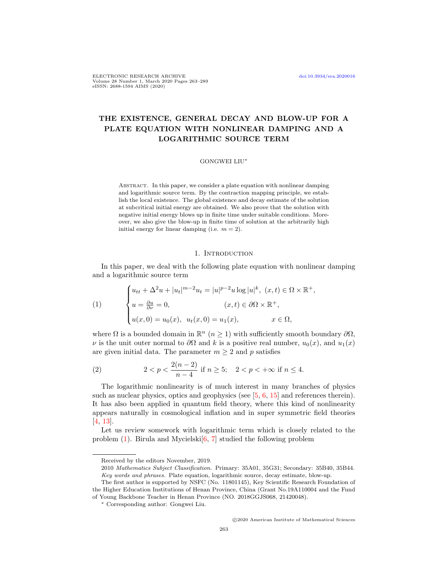ELECTRONIC RESEARCH ARCHIVE [doi:10.3934/era.2020016](http://dx.doi.org/10.3934/era.2020016) Volume 28 Number 1, March 2020 Pages 263–289 eISSN: 2688-1594 AIMS (2020)

# THE EXISTENCE, GENERAL DECAY AND BLOW-UP FOR A PLATE EQUATION WITH NONLINEAR DAMPING AND A LOGARITHMIC SOURCE TERM

### GONGWEI LIU<sup>∗</sup>

ABSTRACT. In this paper, we consider a plate equation with nonlinear damping and logarithmic source term. By the contraction mapping principle, we establish the local existence. The global existence and decay estimate of the solution at subcritical initial energy are obtained. We also prove that the solution with negative initial energy blows up in finite time under suitable conditions. Moreover, we also give the blow-up in finite time of solution at the arbitrarily high initial energy for linear damping (i.e.  $m = 2$ ).

# 1. INTRODUCTION

In this paper, we deal with the following plate equation with nonlinear damping and a logarithmic source term

<span id="page-0-0"></span>(1)  

$$
\begin{cases} u_{tt} + \Delta^2 u + |u_t|^{m-2} u_t = |u|^{p-2} u \log |u|^k, (x, t) \in \Omega \times \mathbb{R}^+, \\ u = \frac{\partial u}{\partial \nu} = 0, & (x, t) \in \partial \Omega \times \mathbb{R}^+, \\ u(x, 0) = u_0(x), u_t(x, 0) = u_1(x), & x \in \Omega, \end{cases}
$$

where  $\Omega$  is a bounded domain in  $\mathbb{R}^n$   $(n \geq 1)$  with sufficiently smooth boundary  $\partial\Omega$ ,  $\nu$  is the unit outer normal to  $\partial\Omega$  and k is a positive real number,  $u_0(x)$ , and  $u_1(x)$ are given initial data. The parameter  $m \geq 2$  and p satisfies

<span id="page-0-1"></span>(2) 
$$
2 < p < \frac{2(n-2)}{n-4} \text{ if } n \ge 5; \quad 2 < p < +\infty \text{ if } n \le 4.
$$

The logarithmic nonlinearity is of much interest in many branches of physics such as nuclear physics, optics and geophysics (see  $[5, 6, 15]$  $[5, 6, 15]$  $[5, 6, 15]$  $[5, 6, 15]$  $[5, 6, 15]$  and references therein). It has also been applied in quantum field theory, where this kind of nonlinearity appears naturally in cosmological inflation and in super symmetric field theories [\[4,](#page-24-3) [13\]](#page-24-4).

Let us review somework with logarithmic term which is closely related to the problem  $(1)$ . Birula and Mycielski $[6, 7]$  $[6, 7]$  $[6, 7]$  studied the following problem

Received by the editors November, 2019.

<sup>2010</sup> Mathematics Subject Classification. Primary: 35A01, 35G31; Secondary: 35B40, 35B44. Key words and phrases. Plate equation, logarithmic source, decay estimate, blow-up.

The first author is supported by NSFC (No. 11801145), Key Scientific Research Foundation of the Higher Education Institutions of Henan Province, China (Grant No.19A110004 and the Fund of Young Backbone Teacher in Henan Province (NO. 2018GGJS068, 21420048).

<sup>∗</sup> Corresponding author: Gongwei Liu.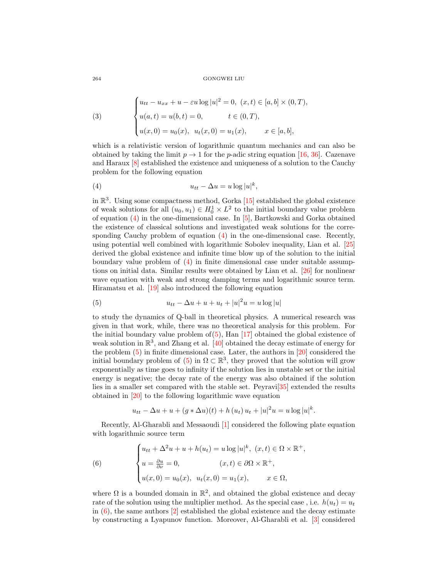(3) 
$$
\begin{cases} u_{tt} - u_{xx} + u - \varepsilon u \log |u|^2 = 0, (x, t) \in [a, b] \times (0, T), \\ u(a, t) = u(b, t) = 0, \qquad t \in (0, T), \\ u(x, 0) = u_0(x), u_t(x, 0) = u_1(x), \qquad x \in [a, b], \end{cases}
$$

which is a relativistic version of logarithmic quantum mechanics and can also be obtained by taking the limit  $p \to 1$  for the *p*-adic string equation [\[16,](#page-25-0) [36\]](#page-25-1). Cazenave and Haraux [\[8\]](#page-24-6) established the existence and uniqueness of a solution to the Cauchy problem for the following equation

<span id="page-1-0"></span>(4) utt − ∆u = u log |u| k ,

in  $\mathbb{R}^3$ . Using some compactness method, Gorka [\[15\]](#page-24-2) established the global existence of weak solutions for all  $(u_0, u_1) \in H_0^1 \times L^2$  to the initial boundary value problem of equation [\(4\)](#page-1-0) in the one-dimensional case. In [\[5\]](#page-24-0), Bartkowski and Gorka obtained the existence of classical solutions and investigated weak solutions for the corresponding Cauchy problem of equation [\(4\)](#page-1-0) in the one-dimensional case. Recently, using potential well combined with logarithmic Sobolev inequality, Lian et al. [\[25\]](#page-25-2) derived the global existence and infinite time blow up of the solution to the initial boundary value problem of [\(4\)](#page-1-0) in finite dimensional case under suitable assumptions on initial data. Similar results were obtained by Lian et al. [\[26\]](#page-25-3) for nonlinear wave equation with weak and strong damping terms and logarithmic source term. Hiramatsu et al. [\[19\]](#page-25-4) also introduced the following equation

<span id="page-1-1"></span>(5) 
$$
u_{tt} - \Delta u + u + u_t + |u|^2 u = u \log |u|
$$

to study the dynamics of Q-ball in theoretical physics. A numerical research was given in that work, while, there was no theoretical analysis for this problem. For the initial boundary value problem  $of(5)$  $of(5)$ , Han  $[17]$  obtained the global existence of weak solution in  $\mathbb{R}^3$ , and Zhang et al. [\[40\]](#page-25-6) obtained the decay estimate of energy for the problem [\(5\)](#page-1-1) in finite dimensional case. Later, the authors in [\[20\]](#page-25-7) considered the initial boundary problem of  $(5)$  in  $\Omega \subset \mathbb{R}^3$ , they proved that the solution will grow exponentially as time goes to infinity if the solution lies in unstable set or the initial energy is negative; the decay rate of the energy was also obtained if the solution lies in a smaller set compared with the stable set. Peyravi[\[35\]](#page-25-8) extended the results obtained in [\[20\]](#page-25-7) to the following logarithmic wave equation

$$
u_{tt} - \Delta u + u + (g * \Delta u)(t) + h (u_t) u_t + |u|^2 u = u \log |u|^k.
$$

Recently, Al-Gharabli and Messaoudi [\[1\]](#page-24-7) considered the following plate equation with logarithmic source term

<span id="page-1-2"></span>(6) 
$$
\begin{cases} u_{tt} + \Delta^2 u + u + h(u_t) = u \log |u|^k, (x, t) \in \Omega \times \mathbb{R}^+, \\ u = \frac{\partial u}{\partial \nu} = 0, & (x, t) \in \partial \Omega \times \mathbb{R}^+, \\ u(x, 0) = u_0(x), u_t(x, 0) = u_1(x), & x \in \Omega, \end{cases}
$$

where  $\Omega$  is a bounded domain in  $\mathbb{R}^2$ , and obtained the global existence and decay rate of the solution using the multiplier method. As the special case, i.e.  $h(u_t) = u_t$ in  $(6)$ , the same authors  $[2]$  established the global existence and the decay estimate by constructing a Lyapunov function. Moreover, Al-Gharabli et al. [\[3\]](#page-24-9) considered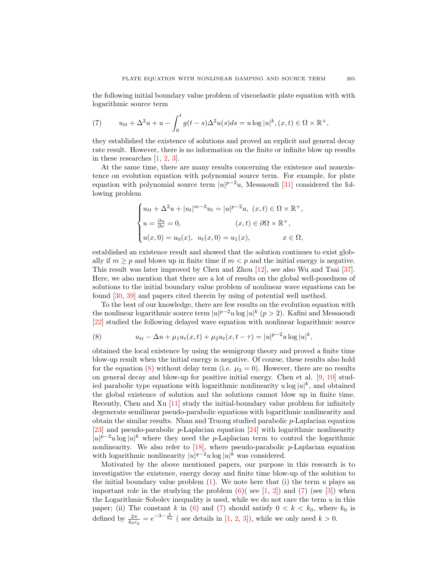the following initial boundary value problem of viscoelastic plate equation with with logarithmic source term

<span id="page-2-1"></span>(7) 
$$
u_{tt} + \Delta^2 u + u - \int_0^t g(t-s) \Delta^2 u(s) ds = u \log |u|^k, (x, t) \in \Omega \times \mathbb{R}^+,
$$

they established the existence of solutions and proved an explicit and general decay rate result. However, there is no information on the finite or infinite blow up results in these researches [\[1,](#page-24-7) [2,](#page-24-8) [3\]](#page-24-9).

At the same time, there are many results concerning the existence and nonexistence on evolution equation with polynomial source term. For example, for plate equation with polynomial source term  $|u|^{p-2}u$ , Messaoudi [\[31\]](#page-25-9) considered the following problem

$$
\begin{cases} u_{tt} + \Delta^2 u + |u_t|^{m-2} u_t = |u|^{p-2} u, (x, t) \in \Omega \times \mathbb{R}^+, \\ u = \frac{\partial u}{\partial \nu} = 0, & (x, t) \in \partial \Omega \times \mathbb{R}^+, \\ u(x, 0) = u_0(x), u_t(x, 0) = u_1(x), & x \in \Omega, \end{cases}
$$

established an existence result and showed that the solution continues to exist globally if  $m \geq p$  and blows up in finite time if  $m < p$  and the initial energy is negative. This result was later improved by Chen and Zhou [\[12\]](#page-24-10), see also Wu and Tsai [\[37\]](#page-25-10). Here, we also mention that there are a lot of results on the global well-posedness of solutions to the initial boundary value problem of nonlinear wave equations can be found [\[30,](#page-25-11) [39\]](#page-25-12) and papers cited therein by using of potential well method.

To the best of our knowledge, there are few results on the evolution equation with the nonlinear logarithmic source term  $|u|^{p-2}u \log |u|^k$   $(p>2)$ . Kafini and Messaoudi [\[22\]](#page-25-13) studied the following delayed wave equation with nonlinear logarithmic source

<span id="page-2-0"></span>(8) 
$$
u_{tt} - \Delta u + \mu_1 u_t(x, t) + \mu_2 u_t(x, t - \tau) = |u|^{p-2} u \log |u|^k,
$$

obtained the local existence by using the semigroup theory and proved a finite time blow-up result when the initial energy is negative. Of course, these results also hold for the equation [\(8\)](#page-2-0) without delay term (i.e.  $\mu_2 = 0$ ). However, there are no results on general decay and blow-up for positive initial energy. Chen et al. [\[9,](#page-24-11) [10\]](#page-24-12) studied parabolic type equations with logarithmic nonlinearity  $u \log |u|^k$ , and obtained the global existence of solution and the solutions cannot blow up in finite time. Recently, Chen and Xu [\[11\]](#page-24-13) study the initial-boundary value problem for infinitely degenerate semilinear pseudo-parabolic equations with logarithmic nonlinearity and obtain the similar results. Nhan and Truong studied parabolic  $p$ -Laplacian equation [\[23\]](#page-25-14) and pseudo-parabolic p-Laplacian equation [\[24\]](#page-25-15) with logarithmic nonlinearity  $|u|^{p-2}u\log|u|^k$  where they need the p-Laplacian term to control the logarithmic nonlinearity. We also refer to  $[18]$ , where pseudo-parabolic  $p$ -Laplacian equation with logarithmic nonlinearity  $|u|^{q-2}u \log |u|^k$  was considered.

Motivated by the above mentioned papers, our purpose in this research is to investigative the existence, energy decay and finite time blow-up of the solution to the initial boundary value problem  $(1)$ . We note here that  $(i)$  the term u plays an important role in the studying the problem  $(6)$  (see [\[1,](#page-24-7) [2\]](#page-24-8)) and  $(7)$  (see [\[3\]](#page-24-9)) when the Logarithmic Sobolev inequality is used, while we do not care the term  $u$  in this paper; (ii) The constant k in [\(6\)](#page-1-2) and [\(7\)](#page-2-1) should satisfy  $0 < k < k_0$ , where  $k_0$  is defined by  $\frac{2\pi}{k_0c_p} = e^{-3-\frac{2}{k_0}}$  (see details in [\[1,](#page-24-7) [2,](#page-24-8) [3\]](#page-24-9)), while we only need  $k > 0$ .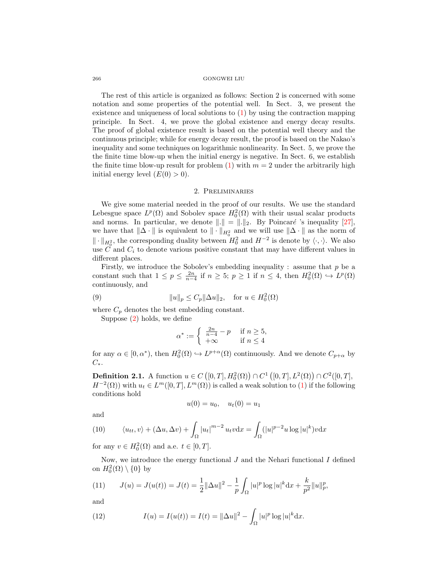The rest of this article is organized as follows: Section 2 is concerned with some notation and some properties of the potential well. In Sect. 3, we present the existence and uniqueness of local solutions to [\(1\)](#page-0-0) by using the contraction mapping principle. In Sect. 4, we prove the global existence and energy decay results. The proof of global existence result is based on the potential well theory and the continuous principle; while for energy decay result, the proof is based on the Nakao's inequality and some techniques on logarithmic nonlinearity. In Sect. 5, we prove the the finite time blow-up when the initial energy is negative. In Sect. 6, we establish the finite time blow-up result for problem [\(1\)](#page-0-0) with  $m = 2$  under the arbitrarily high initial energy level  $(E(0) > 0)$ .

# 2. Preliminaries

We give some material needed in the proof of our results. We use the standard Lebesgue space  $L^p(\Omega)$  and Sobolev space  $H_0^2(\Omega)$  with their usual scalar products and norms. In particular, we denote  $\|\cdot\| = \|\cdot\|_2$ . By Poincaré 's inequality [\[27\]](#page-25-17), we have that  $\|\Delta \cdot \|$  is equivalent to  $\|\cdot\|_{H_0^2}$  and we will use  $\|\Delta \cdot \|$  as the norm of  $\|\cdot\|_{H_0^2}$ , the corresponding duality between  $H_0^2$  and  $H^{-2}$  is denote by  $\langle \cdot, \cdot \rangle$ . We also use  $\tilde{C}$  and  $C_i$  to denote various positive constant that may have different values in different places.

Firstly, we introduce the Sobolev's embedding inequality : assume that  $p$  be a constant such that  $1 \leq p \leq \frac{2n}{n-4}$  if  $n \geq 5$ ;  $p \geq 1$  if  $n \leq 4$ , then  $H_0^2(\Omega) \hookrightarrow L^p(\Omega)$ continuously, and

(9) 
$$
||u||_p \leq C_p ||\Delta u||_2, \text{ for } u \in H_0^2(\Omega)
$$

where  $C_p$  denotes the best embedding constant.

Suppose [\(2\)](#page-0-1) holds, we define

<span id="page-3-2"></span>
$$
\alpha^* := \begin{cases} \frac{2n}{n-4} - p & \text{if } n \ge 5, \\ +\infty & \text{if } n \le 4 \end{cases}
$$

for any  $\alpha \in [0, \alpha^*)$ , then  $H_0^2(\Omega) \hookrightarrow L^{p+\alpha}(\Omega)$  continuously. And we denote  $C_{p+\alpha}$  by  $C_{\ast}$ .

**Definition 2.1.** A function  $u \in C([0, T], H_0^2(\Omega)) \cap C^1([0, T], L^2(\Omega)) \cap C^2([0, T],$  $H^{-2}(\Omega)$ ) with  $u_t \in L^m([0,T], L^m(\Omega))$  is called a weak solution to [\(1\)](#page-0-0) if the following conditions hold

$$
u(0) = u_0, \quad u_t(0) = u_1
$$

and

<span id="page-3-3"></span>(10) 
$$
\langle u_{tt}, v \rangle + (\Delta u, \Delta v) + \int_{\Omega} |u_t|^{m-2} u_t v \, dx = \int_{\Omega} (|u|^{p-2} u \log |u|^k) v \, dx
$$

for any  $v \in H_0^2(\Omega)$  and a.e.  $t \in [0, T]$ .

Now, we introduce the energy functional  $J$  and the Nehari functional  $I$  defined on  $H_0^2(\Omega) \setminus \{0\}$  by

<span id="page-3-0"></span>(11) 
$$
J(u) = J(u(t)) = J(t) = \frac{1}{2} ||\Delta u||^2 - \frac{1}{p} \int_{\Omega} |u|^p \log |u|^k dx + \frac{k}{p^2} ||u||_p^p,
$$

and

<span id="page-3-1"></span>(12) 
$$
I(u) = I(u(t)) = I(t) = ||\Delta u||^2 - \int_{\Omega} |u|^p \log |u|^k dx.
$$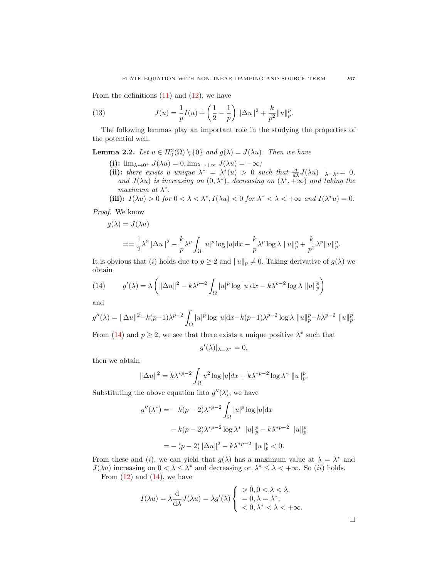From the definitions  $(11)$  and  $(12)$ , we have

<span id="page-4-1"></span>(13) 
$$
J(u) = \frac{1}{p}I(u) + \left(\frac{1}{2} - \frac{1}{p}\right) \|\Delta u\|^2 + \frac{k}{p^2} \|u\|_p^p.
$$

The following lemmas play an important role in the studying the properties of the potential well.

**Lemma 2.2.** Let  $u \in H_0^2(\Omega) \setminus \{0\}$  and  $g(\lambda) = J(\lambda u)$ . Then we have

(i):  $\lim_{\lambda \to 0^+} J(\lambda u) = 0$ ,  $\lim_{\lambda \to +\infty} J(\lambda u) = -\infty$ ;

(ii): there exists a unique  $\lambda^* = \lambda^*(u) > 0$  such that  $\frac{d}{d\lambda}J(\lambda u) |_{\lambda = \lambda^*} = 0$ , and  $J(\lambda u)$  is increasing on  $(0, \lambda^*)$ , decreasing on  $(\lambda^*, +\infty)$  and taking the maximum at  $\lambda^*$ .

(iii): 
$$
I(\lambda u) > 0
$$
 for  $0 < \lambda < \lambda^*$ ,  $I(\lambda u) < 0$  for  $\lambda^* < \lambda < +\infty$  and  $I(\lambda^* u) = 0$ .

Proof. We know

$$
g(\lambda) = J(\lambda u)
$$

$$
= \frac{1}{2}\lambda^2 ||\Delta u||^2 - \frac{k}{p}\lambda^p \int_{\Omega} |u|^p \log |u| dx - \frac{k}{p}\lambda^p \log \lambda ||u||_p^p + \frac{k}{p^2}\lambda^p ||u||_p^p.
$$

It is obvious that (i) holds due to  $p \geq 2$  and  $||u||_p \neq 0$ . Taking derivative of  $g(\lambda)$  we obtain

<span id="page-4-0"></span>(14) 
$$
g'(\lambda) = \lambda \left( \|\Delta u\|^2 - k\lambda^{p-2} \int_{\Omega} |u|^p \log |u| dx - k\lambda^{p-2} \log \lambda \|u\|_p^p \right)
$$

and

$$
g''(\lambda) = \|\Delta u\|^2 - k(p-1)\lambda^{p-2} \int_{\Omega} |u|^p \log |u| dx - k(p-1)\lambda^{p-2} \log \lambda \|u\|_p^p - k\lambda^{p-2} \|u\|_p^p.
$$

From [\(14\)](#page-4-0) and  $p \geq 2$ , we see that there exists a unique positive  $\lambda^*$  such that

$$
g'(\lambda)|_{\lambda=\lambda^*}=0,
$$

then we obtain

$$
\|\Delta u\|^2 = k\lambda^{*p-2} \int_{\Omega} u^2 \log|u| dx + k\lambda^{*p-2} \log \lambda^* \|u\|_p^p.
$$

Substituting the above equation into  $g''(\lambda)$ , we have

$$
g''(\lambda^*) = -k(p-2)\lambda^{*p-2} \int_{\Omega} |u|^p \log |u| dx
$$
  

$$
-k(p-2)\lambda^{*p-2} \log \lambda^* ||u||_p^p - k\lambda^{*p-2} ||u||_p^p
$$
  

$$
= -(p-2)||\Delta u||^2 - k\lambda^{*p-2} ||u||_p^p < 0.
$$

From these and (i), we can yield that  $g(\lambda)$  has a maximum value at  $\lambda = \lambda^*$  and  $J(\lambda u)$  increasing on  $0 < \lambda \leq \lambda^*$  and decreasing on  $\lambda^* \leq \lambda < +\infty$ . So *(ii)* holds. From  $(12)$  and  $(14)$ , we have

$$
I(\lambda u) = \lambda \frac{d}{d\lambda} J(\lambda u) = \lambda g'(\lambda) \begin{cases} > 0, 0 < \lambda < \lambda, \\ > 0, \lambda = \lambda^*, \\ < 0, \lambda^* < \lambda < +\infty. \end{cases}
$$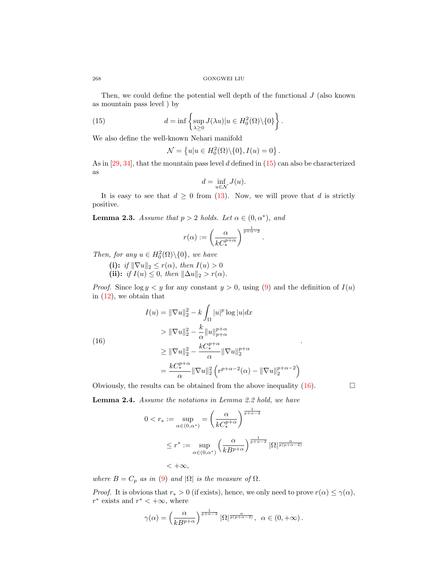Then, we could define the potential well depth of the functional  $J$  (also known as mountain pass level ) by

(15) 
$$
d = \inf \left\{ \sup_{\lambda \geq 0} J(\lambda u) | u \in H_0^2(\Omega) \backslash \{0\} \right\}.
$$

We also define the well-known Nehari manifold

<span id="page-5-0"></span>
$$
\mathcal{N} = \left\{ u | u \in H_0^2(\Omega) \backslash \{0\}, I(u) = 0 \right\}.
$$

As in  $[29, 34]$  $[29, 34]$  $[29, 34]$ , that the mountain pass level d defined in  $(15)$  can also be characterized as

$$
d = \inf_{u \in \mathcal{N}} J(u).
$$

It is easy to see that  $d \geq 0$  from [\(13\)](#page-4-1). Now, we will prove that d is strictly positive.

**Lemma 2.3.** Assume that  $p > 2$  holds. Let  $\alpha \in (0, \alpha^*)$ , and

$$
r(\alpha) := \left(\frac{\alpha}{kC_*^{p+\alpha}}\right)^{\frac{1}{p+\alpha-2}}.
$$

Then, for any  $u \in H_0^2(\Omega) \backslash \{0\}$ , we have

(i): if  $\|\nabla u\|_2 \leq r(\alpha)$ , then  $I(u) > 0$ 

(ii): if  $I(u) \leq 0$ , then  $\|\Delta u\|_2 > r(\alpha)$ .

*Proof.* Since  $\log y < y$  for any constant  $y > 0$ , using [\(9\)](#page-3-2) and the definition of  $I(u)$ in  $(12)$ , we obtain that

$$
I(u) = \|\nabla u\|_2^2 - k \int_{\Omega} |u|^p \log |u| dx
$$

$$
> \|\nabla u\|_2^2 - \frac{k}{\alpha} \|u\|_{p+\alpha}^{p+\alpha}
$$

$$
> \|u\|_2^2 - \frac{kC_*^{p+\alpha}}{r^2} \|u\|_{p+\alpha}^{p+\alpha}
$$

<span id="page-5-1"></span>
$$
\geq \|\nabla u\|_2^2 - \frac{kC_*^{p+\alpha}}{\alpha} \|\nabla u\|_2^{p+\alpha}
$$

$$
= \frac{kC_*^{p+\alpha}}{\alpha} \|\nabla u\|_2^2 \left(r^{p+\alpha-2}(\alpha) - \|\nabla u\|_2^{p+\alpha-2}\right)
$$

Obviously, the results can be obtained from the above inequality  $(16)$ .

Lemma 2.4. Assume the notations in Lemma 2.2 hold, we have

$$
0 < r_* := \sup_{\alpha \in (0, \alpha^*)} = \left(\frac{\alpha}{k C_*^{p+\alpha}}\right)^{\frac{1}{p+\alpha-2}}
$$
\n
$$
\leq r^* := \sup_{\alpha \in (0, \alpha^*)} \left(\frac{\alpha}{k B^{p+\alpha}}\right)^{\frac{1}{p+\alpha-2}} |\Omega|^{\frac{\alpha}{p(p+\alpha-2)}}
$$
\n
$$
\leq +\infty,
$$

where  $B = C_p$  as in [\(9\)](#page-3-2) and  $|\Omega|$  is the measure of  $\Omega$ .

*Proof.* It is obvious that  $r_* > 0$  (if exists), hence, we only need to prove  $r(\alpha) \leq \gamma(\alpha)$ ,  $r^*$  exists and  $r^* < +\infty$ , where

$$
\gamma(\alpha) = \left(\frac{\alpha}{kB^{p+\alpha}}\right)^{\frac{1}{p+\alpha-2}} |\Omega|^{\frac{\alpha}{p(p+\alpha-2)}}, \ \alpha \in (0, +\infty).
$$

(16)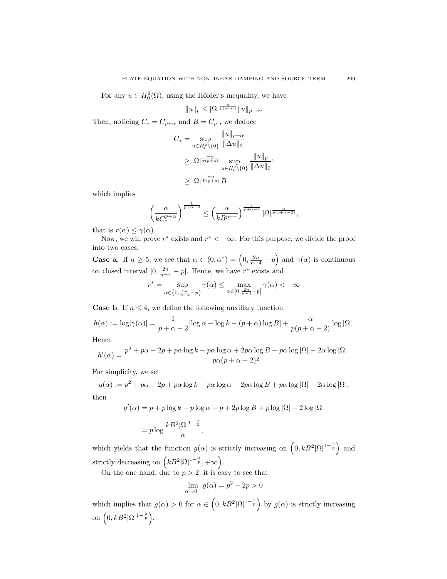For any  $u \in H_0^2(\Omega)$ , using the Hölder's inequality, we have

$$
\|u\|_p\leq |\Omega|^{\frac{\alpha}{p(p+\alpha)}}\|u\|_{p+\alpha}.
$$

Then, noticing  $C_*=C_{p+\alpha}$  and  $B=C_p$  , we deduce

$$
C_* = \sup_{u \in H_0^2 \setminus \{0\}} \frac{\|u\|_{p+\alpha}}{\|\Delta u\|_2}
$$
  
\n
$$
\geq |\Omega|^{\frac{-\alpha}{p(p+\alpha)}} \sup_{u \in H_0^2 \setminus \{0\}} \frac{\|u\|_p}{\|\Delta u\|_2},
$$
  
\n
$$
\geq |\Omega|^{\frac{-\alpha}{p(p+\alpha)}} B
$$

which implies

$$
\left(\frac{\alpha}{kC_*^{p+\alpha}}\right)^{\frac{1}{p+\alpha-2}} \le \left(\frac{\alpha}{kB^{p+\alpha}}\right)^{\frac{1}{p+\alpha-2}} |\Omega|^{\frac{\alpha}{p(p+\alpha-2)}},
$$

that is  $r(\alpha) \leq \gamma(\alpha)$ .

Now, we will prove  $r^*$  exists and  $r^* < +\infty$ . For this purpose, we divide the proof into two cases.

**Case a**. If  $n \geq 5$ , we see that  $\alpha \in (0, \alpha^*) = (0, \frac{2n}{n-4} - p)$  and  $\gamma(\alpha)$  is continuous on closed interval  $[0, \frac{2n}{n-4} - p]$ . Hence, we have  $r^*$  exists and

$$
r^* = \sup_{\alpha \in (0, \frac{2n}{n-4} - p)} \gamma(\alpha) \le \max_{\alpha \in [0, \frac{2n}{n-4} - p]} \gamma(\alpha) < +\infty
$$

**Case b.** If  $n \leq 4$ , we define the following auxiliary function

$$
h(\alpha) := \log[\gamma(\alpha)] = \frac{1}{p + \alpha - 2} [\log \alpha - \log k - (p + \alpha) \log B] + \frac{\alpha}{p(p + \alpha - 2)} \log |\Omega|.
$$

Hence

$$
h'(\alpha) = \frac{p^2 + p\alpha - 2p + p\alpha\log k - p\alpha\log\alpha + 2p\alpha\log B + p\alpha\log|\Omega| - 2\alpha\log|\Omega|}{p\alpha(p + \alpha - 2)^2}.
$$

For simplicity, we set

 $g(\alpha) := p^2 + p\alpha - 2p + p\alpha \log k - p\alpha \log \alpha + 2p\alpha \log B + p\alpha \log |\Omega| - 2\alpha \log |\Omega|,$ then

$$
g'(\alpha) = p + p \log k - p \log \alpha - p + 2p \log B + p \log |\Omega| - 2 \log |\Omega|
$$
  
= 
$$
p \log \frac{kB^2 |\Omega|^{1 - \frac{2}{p}}}{\alpha},
$$

which yields that the function  $g(\alpha)$  is strictly increasing on  $(0, kB^2|\Omega|^{1-\frac{2}{p}})$  and strictly decreasing on  $(kB^2|\Omega|^{1-\frac{2}{p}},+\infty)$ .

On the one hand, due to  $p > 2$ , it is easy to see that

$$
\lim_{\alpha \to 0^+} g(\alpha) = p^2 - 2p > 0
$$

which implies that  $g(\alpha) > 0$  for  $\alpha \in (0, kB^2|\Omega|^{1-\frac{2}{p}})$  by  $g(\alpha)$  is strictly increasing on  $(0,kB^2|\Omega|^{1-\frac{2}{p}})$ .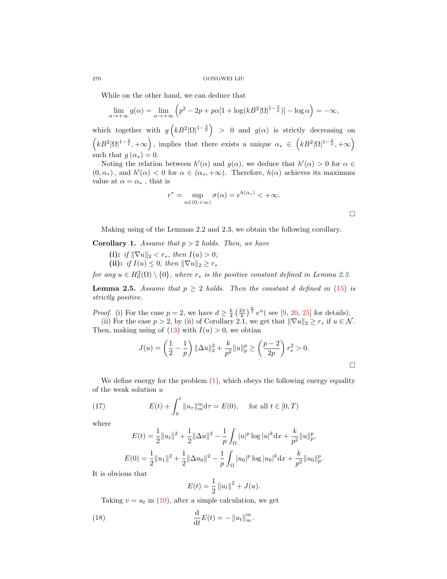While on the other hand, we can deduce that

$$
\lim_{\alpha \to +\infty} g(\alpha) = \lim_{\alpha \to +\infty} \left( p^2 - 2p + p\alpha [1 + \log(kB^2 |\Omega|^{1 - \frac{2}{p}})] - \log \alpha \right) = -\infty,
$$

which together with  $g\left(kB^2|\Omega|^{1-\frac{2}{p}}\right) > 0$  and  $g(\alpha)$  is strictly decreasing on  $(kB^2|\Omega|^{1-\frac{2}{p}},+\infty)$ , implies that there exists a unique  $\alpha_* \in (kB^2|\Omega|^{1-\frac{2}{p}},+\infty)$ such that  $g(\alpha_*)=0$ .

Noting the relation between  $h'(\alpha)$  and  $g(\alpha)$ , we deduce that  $h'(\alpha) > 0$  for  $\alpha \in$  $(0, \alpha_*)$ , and  $h'(\alpha) < 0$  for  $\alpha \in (\alpha_*, +\infty)$ . Therefore,  $h(\alpha)$  achieves its maximum value at  $\alpha = \alpha_*$ , that is

$$
r^* = \sup_{\alpha \in (0, +\infty)} \sigma(\alpha) = e^{h(\alpha_*)} < +\infty.
$$

 $\Box$ 

Making using of the Lemmas 2.2 and 2.3, we obtain the following corollary.

**Corollary 1.** Assume that  $p > 2$  holds. Then, we have

(i): if  $\|\nabla u\|_2 < r_*,$  then  $I(u) > 0;$ (ii): if  $I(u) \leq 0$ , then  $\|\nabla u\|_2 \geq r_*$ 

for any  $u \in H_0^2(\Omega) \setminus \{0\}$ , where  $r_*$  is the positive constant defined in Lemma 2.3.

**Lemma 2.5.** Assume that  $p \geq 2$  holds. Then the constant d defined in [\(15\)](#page-5-0) is strictly positive.

*Proof.* (i) For the case  $p = 2$ , we have  $d \geq \frac{k}{4} \left(\frac{2\pi}{k}\right)^{\frac{n}{2}} e^n$  (see [\[9,](#page-24-11) [20,](#page-25-7) [25\]](#page-25-2) for details).

(ii) For the case  $p > 2$ , by (ii) of Corollary 2.1, we get that  $\|\nabla u\|_2 \geq r_*$  if  $u \in \mathcal{N}$ . Then, making using of  $(13)$  with  $I(u) > 0$ , we obtian

$$
J(u) = \left(\frac{1}{2} - \frac{1}{p}\right) \|\Delta u\|_2^2 + \frac{k}{p^2} \|u\|_p^p \ge \left(\frac{p-2}{2p}\right) r_*^2 > 0.
$$

We define energy for the problem  $(1)$ , which obeys the following energy equality of the weak solution  $u$ 

(17) 
$$
E(t) + \int_0^t \|u_\tau\|_m^m d\tau = E(0), \quad \text{for all } t \in [0, T)
$$

where

<span id="page-7-0"></span>
$$
E(t) = \frac{1}{2} ||u_t||^2 + \frac{1}{2} ||\Delta u||^2 - \frac{1}{p} \int_{\Omega} |u|^p \log |u|^k dx + \frac{k}{p^2} ||u||_p^p,
$$
  

$$
E(0) = \frac{1}{2} ||u_1||^2 + \frac{1}{2} ||\Delta u_0||^2 - \frac{1}{p} \int_{\Omega} |u_0|^p \log |u_0|^k dx + \frac{k}{p^2} ||u_0||_p^p.
$$

It is obvious that

<span id="page-7-1"></span>
$$
E(t) = \frac{1}{2} ||u_t||^2 + J(u).
$$

Taking  $v = u_t$  in [\(10\)](#page-3-3), after a simple calculation, we get

(18) 
$$
\frac{\mathrm{d}}{\mathrm{d}t}E(t) = -\left\|u_t\right\|_m^m.
$$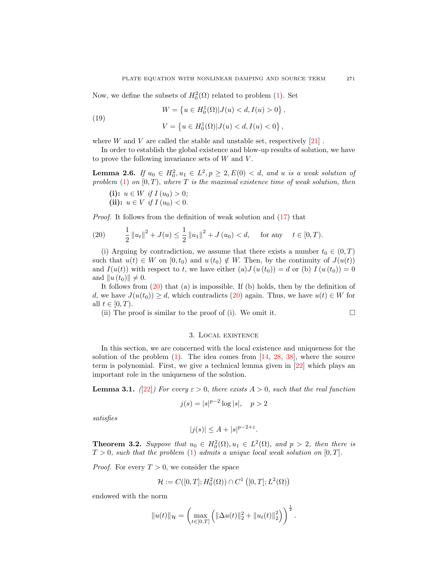Now, we define the subsets of  $H_0^2(\Omega)$  related to problem [\(1\)](#page-0-0). Set

(19) 
$$
W = \{u \in H_0^1(\Omega) | J(u) < d, I(u) > 0\},
$$

$$
V = \{u \in H_0^1(\Omega) | J(u) < d, I(u) < 0\},
$$

where  $W$  and  $V$  are called the stable and unstable set, respectively  $[21]$ .

In order to establish the global existence and blow-up results of solution, we have to prove the following invariance sets of  $W$  and  $V$ .

**Lemma 2.6.** If  $u_0 \in H_0^2, u_1 \in L^2, p \ge 2, E(0) < d$ , and u is a weak solution of problem  $(1)$  on  $[0, T)$ , where T is the maximal existence time of weak solution, then

(i):  $u \in W$  if  $I(u_0) > 0$ ; (ii):  $u \in V$  if  $I(u_0) < 0$ .

Proof. It follows from the definition of weak solution and [\(17\)](#page-7-0) that

<span id="page-8-0"></span>(20) 
$$
\frac{1}{2} ||u_t||^2 + J(u) \le \frac{1}{2} ||u_1||^2 + J(u_0) < d, \text{ for any } t \in [0, T).
$$

(i) Arguing by contradiction, we assume that there exists a number  $t_0 \in (0, T)$ such that  $u(t) \in W$  on  $[0, t_0)$  and  $u(t_0) \notin W$ . Then, by the continuity of  $J(u(t))$ and  $I(u(t))$  with respect to t, we have either (a)  $J(u(t_0)) = d$  or (b)  $I(u(t_0)) = 0$ and  $||u (t_0)|| \neq 0$ .

It follows from  $(20)$  that  $(a)$  is impossible. If  $(b)$  holds, then by the definition of d, we have  $J(u(t_0)) \geq d$ , which contradicts [\(20\)](#page-8-0) again. Thus, we have  $u(t) \in W$  for all  $t \in [0, T)$ .

(ii) The proof is similar to the proof of (i). We omit it.  $\Box$ 

# 3. Local existence

In this section, we are concerned with the local existence and uniqueness for the solution of the problem  $(1)$ . The idea comes from  $[14, 28, 38]$  $[14, 28, 38]$  $[14, 28, 38]$  $[14, 28, 38]$  $[14, 28, 38]$ , where the source term is polynomial. First, we give a technical lemma given in [\[22\]](#page-25-13) which plays an important role in the uniqueness of the solution.

**Lemma 3.1.** ([\[22\]](#page-25-13)) For every  $\varepsilon > 0$ , there exists  $A > 0$ , such that the real function

$$
j(s) = |s|^{p-2} \log |s|, \quad p > 2
$$

satisfies

$$
|j(s)| \le A + |s|^{p-2+\varepsilon}.
$$

**Theorem 3.2.** Suppose that  $u_0 \in H_0^2(\Omega), u_1 \in L^2(\Omega)$ , and  $p > 2$ , then there is  $T > 0$ , such that the problem [\(1\)](#page-0-0) admits a unique local weak solution on [0, T].

*Proof.* For every  $T > 0$ , we consider the space

$$
\mathcal{H} := C([0,T];H_0^2(\Omega)) \cap C^1([0,T];L^2(\Omega))
$$

endowed with the norm

$$
||u(t)||_{\mathcal{H}} = \left(\max_{t \in [0,T]} \left( ||\Delta u(t)||_2^2 + ||u_t(t)||_2^2 \right) \right)^{\frac{1}{2}}.
$$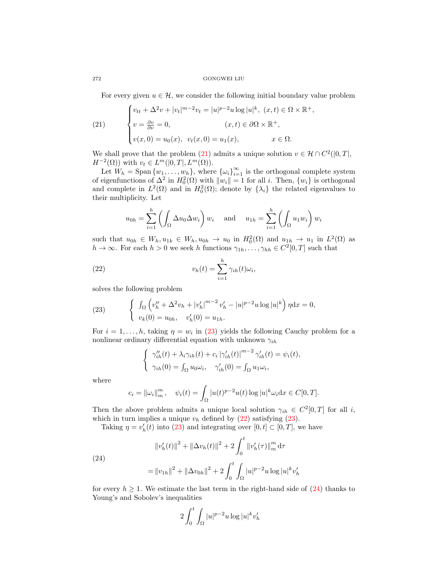For every given  $u \in \mathcal{H}$ , we consider the following initial boundary value problem

<span id="page-9-0"></span>(21) 
$$
\begin{cases} v_{tt} + \Delta^2 v + |v_t|^{m-2} v_t = |u|^{p-2} u \log |u|^k, (x, t) \in \Omega \times \mathbb{R}^+, \\ v = \frac{\partial v}{\partial \nu} = 0, & (x, t) \in \partial \Omega \times \mathbb{R}^+, \\ v(x, 0) = u_0(x), v_t(x, 0) = u_1(x), & x \in \Omega. \end{cases}
$$

We shall prove that the problem [\(21\)](#page-9-0) admits a unique solution  $v \in \mathcal{H} \cap C^2([0,T],$  $H^{-2}(\Omega)$  with  $v_t \in L^m([0,T], L^m(\Omega))$ .

Let  $W_h = \text{Span}\{w_1, \ldots, w_h\}$ , where  $\{\omega_i\}_{i=1}^{\infty}$  is the orthogonal complete system of eigenfunctions of  $\Delta^2$  in  $H_0^2(\Omega)$  with  $||w_i|| = 1$  for all i. Then,  $\{w_i\}$  is orthogonal and complete in  $L^2(\Omega)$  and in  $H_0^2(\Omega)$ ; denote by  $\{\lambda_i\}$  the related eigenvalues to their multiplicity. Let

<span id="page-9-2"></span>
$$
u_{0h} = \sum_{i=1}^{h} \left( \int_{\Omega} \Delta u_0 \Delta w_i \right) w_i \quad \text{and} \quad u_{1h} = \sum_{i=1}^{h} \left( \int_{\Omega} u_1 w_i \right) w_i
$$

such that  $u_{0h} \in W_h, u_{1k} \in W_h, u_{0h} \to u_0$  in  $H_0^2(\Omega)$  and  $u_{1h} \to u_1$  in  $L^2(\Omega)$  as  $h \to \infty$ . For each  $h > 0$  we seek h functions  $\gamma_{1h}, \ldots, \gamma_{hh} \in C^2[0, T]$  such that

(22) 
$$
v_h(t) = \sum_{i=1}^h \gamma_{ih}(t)\omega_i,
$$

solves the following problem

<span id="page-9-1"></span>(23) 
$$
\begin{cases} \int_{\Omega} \left( v''_{h} + \Delta^{2} v_{h} + |v'_{h}|^{m-2} v'_{h} - |u|^{p-2} u \log |u|^{k} \right) \eta \mathrm{d}x = 0, \\ v_{k}(0) = u_{0h}, \quad v'_{h}(0) = u_{1h}. \end{cases}
$$

For  $i = 1, \ldots, h$ , taking  $\eta = w_i$  in [\(23\)](#page-9-1) yields the following Cauchy problem for a nonlinear ordinary differential equation with unknown  $\gamma_{ih}$ 

$$
\begin{cases} \gamma_{ih}^{\prime\prime}(t) + \lambda_i \gamma_{ih}(t) + c_i |\gamma_{ih}^{\prime}(t)|^{m-2} \gamma_{ih}^{\prime}(t) = \psi_i(t), \\ \gamma_{ih}(0) = \int_{\Omega} u_0 \omega_i, \quad \gamma_{ih}^{\prime}(0) = \int_{\Omega} u_1 \omega_i, \end{cases}
$$

where

$$
c_i = ||\omega_i||_m^m
$$
,  $\psi_i(t) = \int_{\Omega} |u(t)^{p-2}u(t) \log |u|^k \omega_i dx \in C[0, T].$ 

Then the above problem admits a unique local solution  $\gamma_{ih} \in C^2[0,T]$  for all i, which in turn implies a unique  $v_h$  defined by  $(22)$  satisfying  $(23)$ .

Taking  $\eta = v'_h(t)$  into [\(23\)](#page-9-1) and integrating over  $[0, t] \subset [0, T]$ , we have

<span id="page-9-3"></span>(24)  
\n
$$
||v'_{h}(t)||^{2} + ||\Delta v_{h}(t)||^{2} + 2 \int_{0}^{t} ||v'_{h}(\tau)||_{m}^{m} d\tau
$$
\n
$$
= ||v_{1h}||^{2} + ||\Delta v_{0h}||^{2} + 2 \int_{0}^{t} \int_{\Omega} |u|^{p-2} u \log |u|^{k} v'_{h}
$$

for every  $h \geq 1$ . We estimate the last term in the right-hand side of [\(24\)](#page-9-3) thanks to Young's and Sobolev's inequalities

$$
2\int_0^t \int_{\Omega} |u|^{p-2}u \log |u|^k v_h'
$$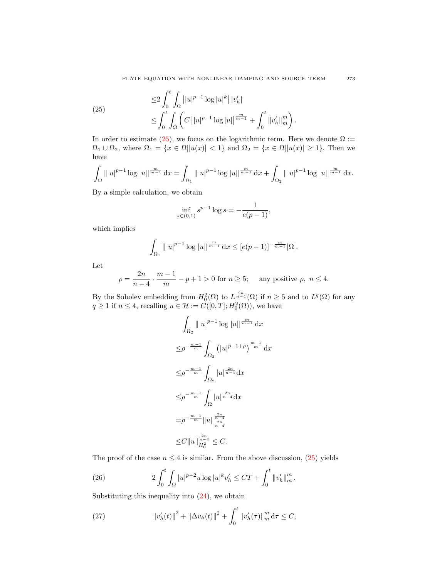<span id="page-10-0"></span>(25) 
$$
\leq 2 \int_0^t \int_{\Omega} ||u|^{p-1} \log |u|^k ||v'_h| \leq \int_0^t \int_{\Omega} \left( C ||u|^{p-1} \log |u||^{\frac{m}{m-1}} + \int_0^t ||v'_h||_m^m \right).
$$

In order to estimate [\(25\)](#page-10-0), we focus on the logarithmic term. Here we denote  $\Omega$  :=  $\Omega_1 \cup \Omega_2$ , where  $\Omega_1 = \{x \in \Omega | |u(x)| < 1\}$  and  $\Omega_2 = \{x \in \Omega | |u(x)| \geq 1\}$ . Then we have

$$
\int_{\Omega} \|u\|^{p-1} \log |u||^{\frac{m}{m-1}} dx = \int_{\Omega_1} \|u\|^{p-1} \log |u||^{\frac{m}{m-1}} dx + \int_{\Omega_2} \|u\|^{p-1} \log |u||^{\frac{m}{m-1}} dx.
$$

By a simple calculation, we obtain

$$
\inf_{s \in (0,1)} s^{p-1} \log s = -\frac{1}{e(p-1)},
$$

which implies

$$
\int_{\Omega_1} \|u\|^{p-1} \log |u||^{\frac{m}{m-1}} \, \mathrm{d}x \leq [e(p-1)]^{-\frac{m}{m-1}} |\Omega|.
$$

Let

$$
\rho = \frac{2n}{n-4} \cdot \frac{m-1}{m} - p + 1 > 0
$$
 for  $n \ge 5$ ; any positive  $\rho$ ,  $n \le 4$ .

By the Sobolev embedding from  $H_0^2(\Omega)$  to  $L^{\frac{2n}{n-4}}(\Omega)$  if  $n \geq 5$  and to  $L^q(\Omega)$  for any  $q \ge 1$  if  $n \le 4$ , recalling  $u \in \mathcal{H} := C([0, T]; H_0^2(\Omega))$ , we have

$$
\int_{\Omega_2} \|u|^{p-1} \log |u| \|^{\frac{m}{m-1}} \, \mathrm{d}x
$$
  
\n
$$
\leq \rho^{-\frac{m-1}{m}} \int_{\Omega_2} (|u|^{p-1+\rho})^{\frac{m-1}{m}} \, \mathrm{d}x
$$
  
\n
$$
\leq \rho^{-\frac{m-1}{m}} \int_{\Omega_2} |u|^{\frac{2n}{n-4}} \mathrm{d}x
$$
  
\n
$$
\leq \rho^{-\frac{m-1}{m}} \int_{\Omega} |u|^{\frac{2n}{n-4}} \mathrm{d}x
$$
  
\n
$$
= \rho^{-\frac{m-1}{m}} \|u\|_{\frac{2n}{n-4}}^{\frac{2n}{n-4}}
$$
  
\n
$$
\leq C \|u\|_{H_0^2}^{\frac{2n}{n-4}} \leq C.
$$

The proof of the case  $n \leq 4$  is similar. From the above discussion, [\(25\)](#page-10-0) yields

<span id="page-10-2"></span>(26) 
$$
2\int_0^t \int_{\Omega} |u|^{p-2}u \log |u|^k v'_h \leq CT + \int_0^t \|v'_h\|_m^m.
$$

Substituting this inequality into  $(24)$ , we obtain

<span id="page-10-1"></span>(27) 
$$
\|v'_{h}(t)\|^{2} + \|\Delta v_{h}(t)\|^{2} + \int_{0}^{t} \|v'_{h}(\tau)\|_{m}^{m} d\tau \leq C,
$$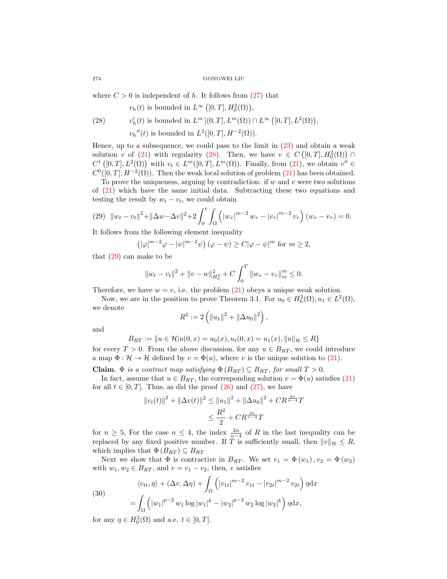where  $C > 0$  is independent of h. It follows from  $(27)$  that

<span id="page-11-0"></span>
$$
v_h(t)
$$
 is bounded in  $L^{\infty}([0,T], H_0^2(\Omega)),$ 

(28) 
$$
v'_h(t) \text{ is bounded in } L^m\left[ (0,T], L^m(\Omega) \right) \cap L^\infty\left( [0,T], L^2(\Omega) \right),
$$

 $v_h''(t)$  is bounded in  $L^2([0,T], H^{-2}(\Omega))$ .

Hence, up to a subsequence, we could pass to the limit in [\(23\)](#page-9-1) and obtain a weak solution v of [\(21\)](#page-9-0) with regularity [\(28\)](#page-11-0). Then, we have  $v \in C([0,T], H_0^2(\Omega)) \cap$  $C^1([0,T], L^2(\Omega))$  with  $v_t \in L^m([0,T], L^m(\Omega))$ . Finally, from  $(21)$ , we obtain  $v'' \in$  $C^0([0,T], H^{-2}(\Omega))$ . Then the weak local solution of problem [\(21\)](#page-9-0) has been obtained.

To prove the uniqueness, arguing by contradiction: if  $w$  and  $v$  were two solutions of [\(21\)](#page-9-0) which have the same initial data. Subtracting these two equations and testing the result by  $w_t - v_t$ , we could obtain

<span id="page-11-1"></span>
$$
(29) \quad \|w_t - v_t\|^2 + \|\Delta w - \Delta v\|^2 + 2 \int_0^t \int_{\Omega} \left( |w_\tau|^{m-2} |w_\tau|^{m-2} |v_\tau|^{m-2} |v_\tau|^{m-2} |v_\tau|^{m-2} |v_\tau|^{m-2} |v_\tau|^{m-2} |v_\tau|^{m-2} |v_\tau|^{m-2} |v_\tau|^{m-2} |v_\tau|^{m-2} |v_\tau|^{m-2} |v_\tau|^{m-2} |v_\tau|^{m-2} |v_\tau|^{m-2} |v_\tau|^{m-2} |v_\tau|^{m-2} |v_\tau|^{m-2} |v_\tau|^{m-2} |v_\tau|^{m-2} |v_\tau|^{m-2} |v_\tau|^{m-2} |v_\tau|^{m-2} |v_\tau|^{m-2} |v_\tau|^{m-2} |v_\tau|^{m-2} |v_\tau|^{m-2} |v_\tau|^{m-2} |v_\tau|^{m-2} |v_\tau|^{m-2} |v_\tau|^{m-2} |v_\tau|^{m-2} |v_\tau|^{m-2} |v_\tau|^{m-2} |v_\tau|^{m-2} |v_\tau|^{m-2} |v_\tau|^{m-2} |v_\tau|^{m-2} |v_\tau|^{m-2} |v_\tau|^{m-2} |v_\tau|^{m-2} |v_\tau|^{m-2} |v_\tau|^{m-2} |v_\tau|^{m-2} |v_\tau|^{m-2} |v_\tau|^{m-2} |v_\tau|^{m-2} |v_\tau|^{m-2} |v_\tau|^{m-2} |v_\tau|^{m-2} |v_\tau|^{m-2} |v_\tau|^{m-2} |v_\tau|^{m-2} |v_\tau|^{m-2} |v_\tau|^{m-2} |v_\tau|^{m-2} |v_\tau|^{m-2} |v_\tau|^{m-2} |v_\tau|^{m-2} |v_\tau|^{m-2} |v_\tau|^{m-2} |v_\tau|^{m-2} |v_\tau|^{m-2} |v_\tau|^{m-2} |v_\tau|^{m-2} |v_\tau|^{m-2} |v_\tau|^{m-2} |v_\tau|^{m-2} |v_\tau|^{m-2} |v_\tau|^{m-2} |v_\tau|^{m-2} |v_\tau|
$$

It follows from the following element inequality

$$
(|\varphi|^{m-2}\varphi - |\psi|^{m-2}\psi) (\varphi - \psi) \ge C|\varphi - \psi|^m \text{ for } m \ge 2,
$$

that [\(29\)](#page-11-1) can make to be

$$
||w_t - v_t||^2 + ||v - w||_{H_0^2}^2 + C \int_0^T ||w_\tau - v_\tau||_m^m \le 0.
$$

Therefore, we have  $w = v$ , i.e. the problem [\(21\)](#page-9-0) obeys a unique weak solution.

Now, we are in the position to prove Theorem 3.1. For  $u_0 \in H_0^2(\Omega), u_1 \in L^2(\Omega)$ , we denote

$$
R^2 := 2(||u_1||^2 + ||\Delta u_0||^2),
$$

and

$$
B_{RT} := \{ u \in \mathcal{H} | u(0, x) = u_0(x), u_t(0, x) = u_1(x), ||u||_{\mathcal{H}} \le R \}
$$

for every  $T > 0$ . From the above discussion, for any  $u \in B_{RT}$ , we could introduce a map  $\Phi : \mathcal{H} \to \mathcal{H}$  defined by  $v = \Phi(u)$ , where v is the unique solution to [\(21\)](#page-9-0).

Claim.  $\Phi$  is a contract map satisfying  $\Phi(B_{RT}) \subseteq B_{RT}$ , for small  $T > 0$ .

In fact, assume that  $u \in B_{RT}$ , the corresponding solution  $v = \Phi(u)$  satisfies [\(21\)](#page-9-0) for all  $t \in [0, T]$ . Thus, as did the proof  $(26)$  and  $(27)$ , we have

$$
||v_t(t)||^2 + ||\Delta v(t)||^2 \le ||u_1||^2 + ||\Delta u_0||^2 + CR^{\frac{2n}{n-4}}T
$$
  

$$
\le \frac{R^2}{2} + CR^{\frac{2n}{n-4}}T
$$

for  $n \geq 5$ , For the case  $n \leq 4$ , the index  $\frac{2n}{n-4}$  of R in the last inequality can be replaced by any fixed positive number. If T is sufficiently small, then  $||v||_{\mathcal{H}} \leq R$ , which implies that  $\Phi(B_{RT}) \subseteq B_{RT}$ 

Next we show that  $\Phi$  is contractive in  $B_{RT}$ . We set  $v_1 = \Phi(w_1), v_2 = \Phi(w_2)$ with  $w_1, w_2 \in B_{RT}$ , and  $v = v_1 - v_2$ , then, v satisfies

<span id="page-11-2"></span>(30)  

$$
\langle v_{tt}, \eta \rangle + (\Delta v, \Delta \eta) + \int_{\Omega} \left( |v_{1t}|^{m-2} v_{1t} - |v_{2t}|^{m-2} v_{2t} \right) \eta \mathrm{d}x
$$

$$
= \int_{\Omega} \left( |w_1|^{p-2} w_1 \log |w_1|^k - |w_2|^{p-2} w_2 \log |w_2|^k \right) \eta \mathrm{d}x,
$$

for any  $\eta \in H_0^2(\Omega)$  and a.e.  $t \in [0, T]$ .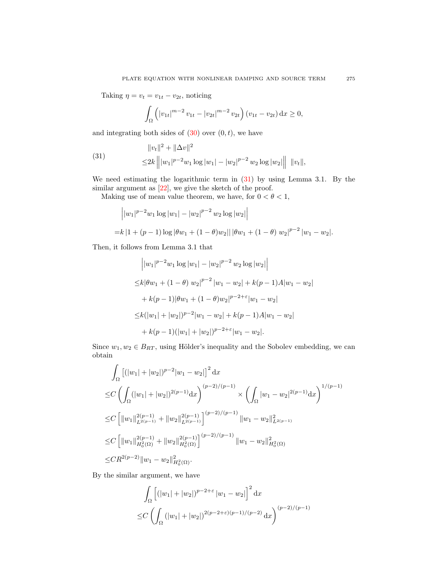Taking  $\eta = v_t = v_{1t} - v_{2t}$ , noticing

<span id="page-12-0"></span>
$$
\int_{\Omega} \left( |v_{1t}|^{m-2} v_{1t} - |v_{2t}|^{m-2} v_{2t} \right) (v_{1t} - v_{2t}) dx \ge 0,
$$

and integrating both sides of  $(30)$  over  $(0, t)$ , we have

(31) 
$$
\|v_t\|^2 + \|\Delta v\|^2
$$

$$
\leq 2k \left\| |w_1|^{p-2} w_1 \log |w_1| - |w_2|^{p-2} w_2 \log |w_2| \right\| \|v_t\|,
$$

We need estimating the logarithmic term in [\(31\)](#page-12-0) by using Lemma 3.1. By the similar argument as  $[22]$ , we give the sketch of the proof.

Making use of mean value theorem, we have, for  $0 < \theta < 1$ ,

$$
\begin{aligned}\n&\left||w_1|^{p-2}w_1\log|w_1| - |w_2|^{p-2}w_2\log|w_2|\right| \\
&= k\left|1 + (p-1)\log|\theta w_1 + (1-\theta)w_2|\right| |\theta w_1 + (1-\theta) w_2|^{p-2}|w_1 - w_2|\n\end{aligned}
$$

Then, it follows from Lemma 3.1 that

$$
\|w_1|^{p-2}w_1\log|w_1| - |w_2|^{p-2}w_2\log|w_2|\
$$
  
\n
$$
\leq k|\theta w_1 + (1-\theta) w_2|^{p-2} |w_1 - w_2| + k(p-1)A|w_1 - w_2|
$$
  
\n
$$
+ k(p-1)|\theta w_1 + (1-\theta)w_2|^{p-2+\epsilon}|w_1 - w_2|
$$
  
\n
$$
\leq k(|w_1| + |w_2|)^{p-2}|w_1 - w_2| + k(p-1)A|w_1 - w_2|
$$
  
\n
$$
+ k(p-1)(|w_1| + |w_2|)^{p-2+\epsilon}|w_1 - w_2|.
$$

Since  $w_1, w_2 \in B_{RT}$ , using Hölder's inequality and the Sobolev embedding, we can obtain

$$
\int_{\Omega} \left[ (|w_1| + |w_2|)^{p-2} |w_1 - w_2| \right]^2 dx
$$
\n
$$
\leq C \left( \int_{\Omega} (|w_1| + |w_2|)^{2(p-1)} dx \right)^{(p-2)/(p-1)} \times \left( \int_{\Omega} |w_1 - w_2|^{2(p-1)} dx \right)^{1/(p-1)}
$$
\n
$$
\leq C \left[ \|w_1\|_{L^{2(p-1)}}^{2(p-1)} + \|w_2\|_{L^{2(p-1)}}^{2(p-1)} \right]^{(p-2)/(p-1)} \|w_1 - w_2\|_{L^{2(p-1)}}^2
$$
\n
$$
\leq C \left[ \|w_1\|_{H_0^2(\Omega)}^{2(p-1)} + \|w_2\|_{H_0^2(\Omega)}^{2(p-1)} \right]^{(p-2)/(p-1)} \|w_1 - w_2\|_{H_0^2(\Omega)}^2
$$
\n
$$
\leq C R^{2(p-2)} \|w_1 - w_2\|_{H_0^2(\Omega)}^2.
$$

By the similar argument, we have

$$
\int_{\Omega} \left[ (|w_1| + |w_2|)^{p-2+\varepsilon} |w_1 - w_2| \right]^2 dx
$$
  
\n
$$
\leq C \left( \int_{\Omega} (|w_1| + |w_2|)^{2(p-2+\varepsilon)(p-1)/(p-2)} dx \right)^{(p-2)/(p-1)}
$$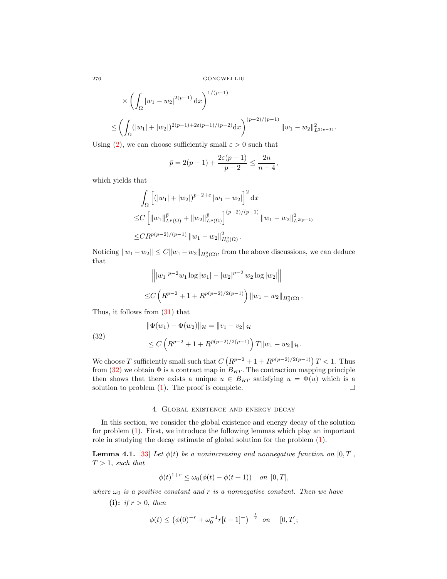$$
\times \left( \int_{\Omega} |w_1 - w_2|^{2(p-1)} dx \right)^{1/(p-1)} \n\leq \left( \int_{\Omega} (|w_1| + |w_2|)^{2(p-1)+2\varepsilon(p-1)/(p-2)} dx \right)^{(p-2)/(p-1)} \|w_1 - w_2\|_{L^{2(p-1)}}^2.
$$

Using [\(2\)](#page-0-1), we can choose sufficiently small  $\varepsilon > 0$  such that

$$
\bar{p} = 2(p-1) + \frac{2\varepsilon(p-1)}{p-2} \le \frac{2n}{n-4},
$$

which yields that

$$
\int_{\Omega} \left[ (|w_1| + |w_2|)^{p-2+\varepsilon} |w_1 - w_2| \right]^2 dx
$$
  
\n
$$
\leq C \left[ \|w_1\|_{L^{\bar{p}}(\Omega)}^{\bar{p}} + \|w_2\|_{L^{\bar{p}}(\Omega)}^{\bar{p}} \right]^{(p-2)/(p-1)} \|w_1 - w_2\|_{L^{2(p-1)}}^2
$$
  
\n
$$
\leq C R^{\bar{p}(p-2)/(p-1)} \|w_1 - w_2\|_{H_0^2(\Omega)}^2.
$$

Noticing  $||w_1 - w_2|| \leq C ||w_1 - w_2||_{H_0^2(\Omega)}$ , from the above discussions, we can deduce that

$$
\| |w_1|^{p-2} w_1 \log |w_1| - |w_2|^{p-2} w_2 \log |w_2| \|
$$
  
\n
$$
\leq C \left( R^{p-2} + 1 + R^{\bar{p}(p-2)/2(p-1)} \right) \|w_1 - w_2\|_{H^2_0(\Omega)}.
$$

Thus, it follows from [\(31\)](#page-12-0) that

<span id="page-13-0"></span>(32)  
\n
$$
\|\Phi(w_1) - \Phi(w_2)\|_{\mathcal{H}} = \|v_1 - v_2\|_{\mathcal{H}}
$$
\n
$$
\leq C \left( R^{p-2} + 1 + R^{\bar{p}(p-2)/2(p-1)} \right) T \|w_1 - w_2\|_{\mathcal{H}}.
$$

We choose T sufficiently small such that  $C\left(R^{p-2}+1+R^{\bar{p}(p-2)/2(p-1)}\right)T<1$ . Thus from [\(32\)](#page-13-0) we obtain  $\Phi$  is a contract map in  $B_{RT}$ . The contraction mapping principle then shows that there exists a unique  $u \in B_{RT}$  satisfying  $u = \Phi(u)$  which is a solution to problem  $(1)$ . The proof is complete.

# 4. Global existence and energy decay

In this section, we consider the global existence and energy decay of the solution for problem [\(1\)](#page-0-0). First, we introduce the following lemmas which play an important role in studying the decay estimate of global solution for the problem [\(1\)](#page-0-0).

**Lemma 4.1.** [\[33\]](#page-25-23) Let  $\phi(t)$  be a nonincreasing and nonnegative function on [0, T],  $T > 1$ , such that

$$
\phi(t)^{1+r} \le \omega_0(\phi(t) - \phi(t+1)) \quad on \ [0, T],
$$

where  $\omega_0$  is a positive constant and r is a nonnegative constant. Then we have

(i): *if*  $r > 0$ *, then* 

$$
\phi(t) \le (\phi(0)^{-r} + \omega_0^{-1}r[t-1]^+)^{-\frac{1}{r}} \quad \text{on} \quad [0, T];
$$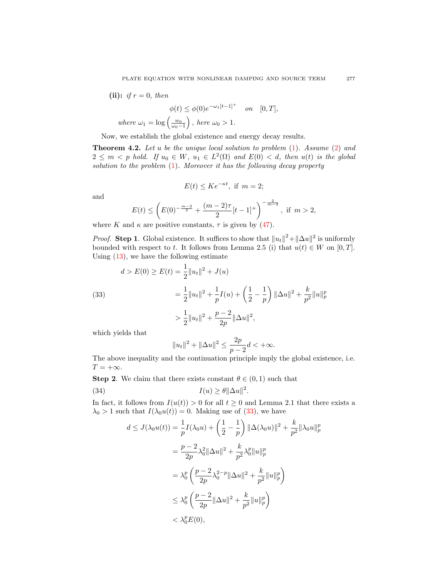(ii): if 
$$
r = 0
$$
, then  
\n
$$
\phi(t) \leq \phi(0)e^{-\omega_1[t-1]^+} \quad on \quad [0, T],
$$
\nwhere  $\omega_1 = \log\left(\frac{w_0}{\omega_0 - 1}\right)$ , here  $\omega_0 > 1$ .

Now, we establish the global existence and energy decay results.

**Theorem 4.2.** Let u be the unique local solution to problem  $(1)$ . Assume  $(2)$  and  $2 \leq m \lt p$  hold. If  $u_0 \in W$ ,  $u_1 \in L^2(\Omega)$  and  $E(0) \lt d$ , then  $u(t)$  is the global solution to the problem [\(1\)](#page-0-0). Moreover it has the following decay property

$$
E(t) \leq Ke^{-\kappa t}, \text{ if } m = 2;
$$

and

$$
E(t) \le \left( E(0)^{-\frac{m-2}{2}} + \frac{(m-2)\tau}{2} [t-1]^+ \right)^{-\frac{2}{m-2}}, \text{ if } m > 2,
$$

where K and  $\kappa$  are positive constants,  $\tau$  is given by [\(47\)](#page-17-0).

*Proof.* Step 1. Global existence. It suffices to show that  $||u_t||^2 + ||\Delta u||^2$  is uniformly bounded with respect to t. It follows from Lemma 2.5 (i) that  $u(t) \in W$  on [0, T]. Using [\(13\)](#page-4-1), we have the following estimate

<span id="page-14-0"></span>(33)  
\n
$$
d > E(0) \ge E(t) = \frac{1}{2} ||u_t||^2 + J(u)
$$
\n
$$
= \frac{1}{2} ||u_t||^2 + \frac{1}{p} I(u) + \left(\frac{1}{2} - \frac{1}{p}\right) ||\Delta u||^2 + \frac{k}{p^2} ||u||_p^p
$$
\n
$$
> \frac{1}{2} ||u_t||^2 + \frac{p-2}{2p} ||\Delta u||^2,
$$

which yields that

<span id="page-14-1"></span>
$$
||u_t||^2 + ||\Delta u||^2 \le \frac{2p}{p-2}d < +\infty.
$$

The above inequality and the continuation principle imply the global existence, i.e.  $T = +\infty$ .

**Step 2.** We claim that there exists constant  $\theta \in (0, 1)$  such that

(34) 
$$
I(u) \ge \theta ||\Delta u||^2.
$$

In fact, it follows from  $I(u(t)) > 0$  for all  $t \geq 0$  and Lemma 2.1 that there exists a  $\lambda_0 > 1$  such that  $I(\lambda_0 u(t)) = 0$ . Making use of [\(33\)](#page-14-0), we have

$$
d \leq J(\lambda_0 u(t)) = \frac{1}{p} I(\lambda_0 u) + \left(\frac{1}{2} - \frac{1}{p}\right) \|\Delta(\lambda_0 u)\|^2 + \frac{k}{p^2} \|\lambda_0 u\|_p^p
$$
  

$$
= \frac{p-2}{2p} \lambda_0^2 \|\Delta u\|^2 + \frac{k}{p^2} \lambda_0^p \|u\|_p^p
$$
  

$$
= \lambda_0^p \left(\frac{p-2}{2p} \lambda_0^{2-p} \|\Delta u\|^2 + \frac{k}{p^2} \|u\|_p^p\right)
$$
  

$$
\leq \lambda_0^p \left(\frac{p-2}{2p} \|\Delta u\|^2 + \frac{k}{p^2} \|u\|_p^p\right)
$$
  

$$
< \lambda_0^p E(0),
$$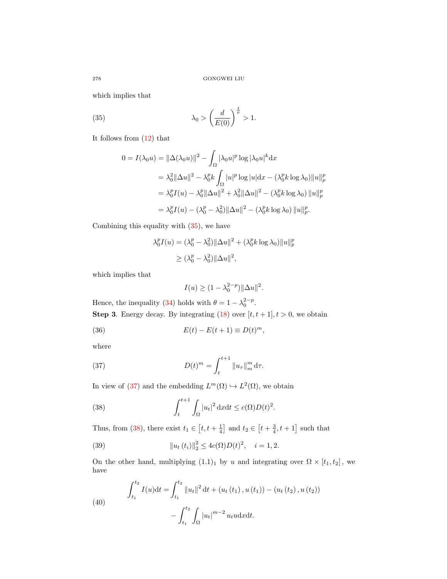which implies that

(35) 
$$
\lambda_0 > \left(\frac{d}{E(0)}\right)^{\frac{1}{p}} > 1.
$$

It follows from [\(12\)](#page-3-1) that

<span id="page-15-0"></span>
$$
0 = I(\lambda_0 u) = \|\Delta(\lambda_0 u)\|^2 - \int_{\Omega} |\lambda_0 u|^p \log |\lambda_0 u|^k dx
$$
  
\n
$$
= \lambda_0^2 \|\Delta u\|^2 - \lambda_0^p k \int_{\Omega} |u|^p \log |u| dx - (\lambda_0^p k \log \lambda_0) \|u\|_p^p
$$
  
\n
$$
= \lambda_0^p I(u) - \lambda_0^p \|\Delta u\|^2 + \lambda_0^2 \|\Delta u\|^2 - (\lambda_0^p k \log \lambda_0) \|u\|_p^p
$$
  
\n
$$
= \lambda_0^p I(u) - (\lambda_0^p - \lambda_0^2) \|\Delta u\|^2 - (\lambda_0^p k \log \lambda_0) \|u\|_p^p.
$$

Combining this equality with [\(35\)](#page-15-0), we have

$$
\lambda_0^p I(u) = (\lambda_0^p - \lambda_0^2) \|\Delta u\|^2 + (\lambda_0^p k \log \lambda_0) \|u\|_p^p
$$
  

$$
\geq (\lambda_0^p - \lambda_0^2) \|\Delta u\|^2,
$$

which implies that

<span id="page-15-5"></span><span id="page-15-1"></span>
$$
I(u) \ge (1 - \lambda_0^{2-p}) ||\Delta u||^2.
$$

Hence, the inequality [\(34\)](#page-14-1) holds with  $\theta = 1 - \lambda_0^{2-p}$ . **Step 3.** Energy decay. By integrating  $(18)$  over  $[t, t + 1], t > 0$ , we obtain

(36) 
$$
E(t) - E(t+1) \equiv D(t)^m,
$$

where

(37) 
$$
D(t)^m = \int_t^{t+1} \|u_\tau\|_m^m d\tau.
$$

In view of [\(37\)](#page-15-1) and the embedding  $L^m(\Omega) \hookrightarrow L^2(\Omega)$ , we obtain

<span id="page-15-2"></span>(38) 
$$
\int_{t}^{t+1} \int_{\Omega} |u_t|^2 \, \mathrm{d}x \mathrm{d}t \leq c(\Omega) D(t)^2.
$$

Thus, from [\(38\)](#page-15-2), there exist  $t_1 \in [t, t + \frac{1}{4}]$  and  $t_2 \in [t + \frac{3}{4}, t + 1]$  such that

<span id="page-15-3"></span>(39) 
$$
||u_t(t_i)||_2^2 \le 4c(\Omega)D(t)^2, \quad i = 1, 2.
$$

On the other hand, multiplying  $(1.1)<sub>1</sub>$  by u and integrating over  $\Omega \times [t_1, t_2]$ , we have

<span id="page-15-4"></span>(40) 
$$
\int_{t_1}^{t_2} I(u) dt = \int_{t_1}^{t_2} ||u_t||^2 dt + (u_t(t_1), u(t_1)) - (u_t(t_2), u(t_2))
$$

$$
- \int_{t_1}^{t_2} \int_{\Omega} |u_t|^{m-2} u_t u dx dt.
$$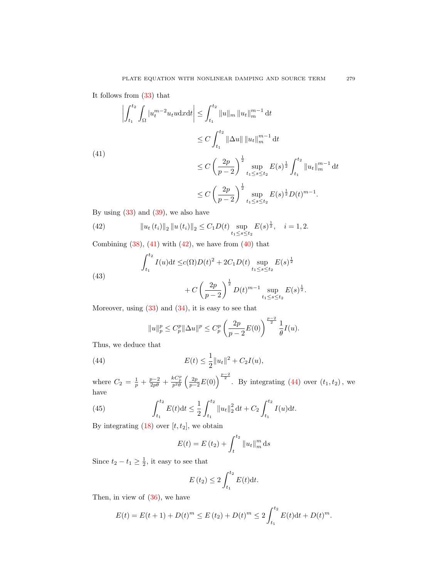It follows from [\(33\)](#page-14-0) that

<span id="page-16-0"></span>
$$
\left| \int_{t_1}^{t_2} \int_{\Omega} |u_t^{m-2} u_t u dx dt \right| \leq \int_{t_1}^{t_2} \|u\|_{m} \|u_t\|_{m}^{m-1} dt
$$
  
\n
$$
\leq C \int_{t_1}^{t_2} \|\Delta u\| \|u_t\|_{m}^{m-1} dt
$$
  
\n(41)  
\n
$$
\leq C \left(\frac{2p}{p-2}\right)^{\frac{1}{2}} \sup_{t_1 \leq s \leq t_2} E(s)^{\frac{1}{2}} \int_{t_1}^{t_2} \|u_t\|_{m}^{m-1} dt
$$
  
\n
$$
\leq C \left(\frac{2p}{p-2}\right)^{\frac{1}{2}} \sup_{t_1 \leq s \leq t_2} E(s)^{\frac{1}{2}} D(t)^{m-1}.
$$

By using  $(33)$  and  $(39)$ , we also have

<span id="page-16-1"></span>(42) 
$$
\|u_t(t_i)\|_2 \|u(t_i)\|_2 \le C_1 D(t) \sup_{t_1 \le s \le t_2} E(s)^{\frac{1}{2}}, \quad i = 1, 2.
$$

Combining  $(38)$ ,  $(41)$  with  $(42)$ , we have from  $(40)$  that

(43) 
$$
\int_{t_1}^{t_2} I(u) dt \le c(\Omega) D(t)^2 + 2C_1 D(t) \sup_{t_1 \le s \le t_2} E(s)^{\frac{1}{2}} + C \left(\frac{2p}{p-2}\right)^{\frac{1}{2}} D(t)^{m-1} \sup_{t_1 \le s \le t_2} E(s)^{\frac{1}{2}}.
$$

Moreover, using  $(33)$  and  $(34)$ , it is easy to see that

<span id="page-16-2"></span>
$$
||u||_p^p \le C_p^p ||\Delta u||^p \le C_p^p \left(\frac{2p}{p-2}E(0)\right)^{\frac{p-2}{2}} \frac{1}{\theta}I(u).
$$

Thus, we deduce that

(44) 
$$
E(t) \leq \frac{1}{2} ||u_t||^2 + C_2 I(u),
$$

where  $C_2 = \frac{1}{p} + \frac{p-2}{2p\theta} + \frac{kC_p^p}{p^2\theta} \left(\frac{2p}{p-2}E(0)\right)^{\frac{p-2}{2}}$ . By integrating [\(44\)](#page-16-2) over  $(t_1, t_2)$ , we have

(45) 
$$
\int_{t_1}^{t_2} E(t) dt \leq \frac{1}{2} \int_{t_1}^{t_2} ||u_t||_2^2 dt + C_2 \int_{t_1}^{t_2} I(u) dt.
$$

By integrating  $(18)$  over  $[t, t_2]$ , we obtain

<span id="page-16-3"></span>
$$
E(t) = E(t_2) + \int_t^{t_2} ||u_t||_m^m ds
$$

Since  $t_2 - t_1 \geq \frac{1}{2}$ , it easy to see that

$$
E(t_2) \le 2 \int_{t_1}^{t_2} E(t) \mathrm{d}t.
$$

Then, in view of [\(36\)](#page-15-5), we have

$$
E(t) = E(t+1) + D(t)^m \le E(t_2) + D(t)^m \le 2 \int_{t_1}^{t_2} E(t) dt + D(t)^m.
$$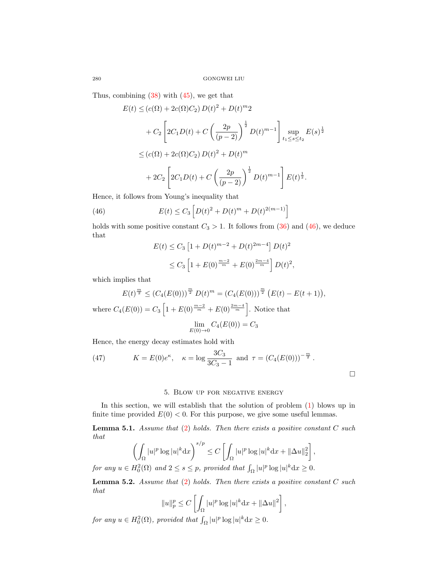Thus, combining  $(38)$  with  $(45)$ , we get that

$$
E(t) \le (c(\Omega) + 2c(\Omega)C_2) D(t)^2 + D(t)^m 2
$$
  
+  $C_2 \left[ 2C_1 D(t) + C \left( \frac{2p}{(p-2)} \right)^{\frac{1}{2}} D(t)^{m-1} \right] \sup_{t_1 \le s \le t_2} E(s)^{\frac{1}{2}}$   
 $\le (c(\Omega) + 2c(\Omega)C_2) D(t)^2 + D(t)^m$   
+  $2C_2 \left[ 2C_1 D(t) + C \left( \frac{2p}{(p-2)} \right)^{\frac{1}{2}} D(t)^{m-1} \right] E(t)^{\frac{1}{2}}.$ 

Hence, it follows from Young's inequality that

(46) 
$$
E(t) \leq C_3 \left[ D(t)^2 + D(t)^m + D(t)^{2(m-1)} \right]
$$

holds with some positive constant  $C_3 > 1$ . It follows from [\(36\)](#page-15-5) and [\(46\)](#page-17-1), we deduce that

<span id="page-17-1"></span>
$$
E(t) \le C_3 \left[ 1 + D(t)^{m-2} + D(t)^{2m-4} \right] D(t)^2
$$
  
 
$$
\le C_3 \left[ 1 + E(0)^{\frac{m-2}{m}} + E(0)^{\frac{2m-4}{m}} \right] D(t)^2,
$$

which implies that

$$
E(t)^{\frac{m}{2}} \le (C_4(E(0)))^{\frac{m}{2}} D(t)^m = (C_4(E(0)))^{\frac{m}{2}} (E(t) - E(t+1)),
$$
  
where  $C_4(E(0)) = C_3 \left[1 + E(0)^{\frac{m-2}{m}} + E(0)^{\frac{2m-4}{m}}\right]$ . Notice that

$$
\lim_{E(0)\to 0} C_4(E(0)) = C_3
$$

Hence, the energy decay estimates hold with

<span id="page-17-0"></span>(47) 
$$
K = E(0)e^{\kappa}
$$
,  $\kappa = \log \frac{3C_3}{3C_3 - 1}$  and  $\tau = (C_4(E(0)))^{-\frac{m}{2}}$ .

# 5. Blow up for negative energy

In this section, we will establish that the solution of problem [\(1\)](#page-0-0) blows up in finite time provided  $E(0) < 0$ . For this purpose, we give some useful lemmas.

**Lemma 5.1.** Assume that  $(2)$  holds. Then there exists a positive constant  $C$  such that

$$
\left(\int_{\Omega} |u|^p \log |u|^k \mathrm{d}x\right)^{s/p} \le C \left[\int_{\Omega} |u|^p \log |u|^k \mathrm{d}x + \|\Delta u\|_2^2\right],
$$
  
for any  $u \in H_0^2(\Omega)$  and  $2 \le s \le p$ , provided that  $\int_{\Omega} |u|^p \log |u|^k \mathrm{d}x \ge 0$ .

**Lemma 5.2.** Assume that  $(2)$  holds. Then there exists a positive constant  $C$  such that

$$
||u||_p^p \le C \left[ \int_{\Omega} |u|^p \log |u|^k dx + ||\Delta u||^2 \right],
$$

for any  $u \in H_0^2(\Omega)$ , provided that  $\int_{\Omega} |u|^p \log |u|^k dx \ge 0$ .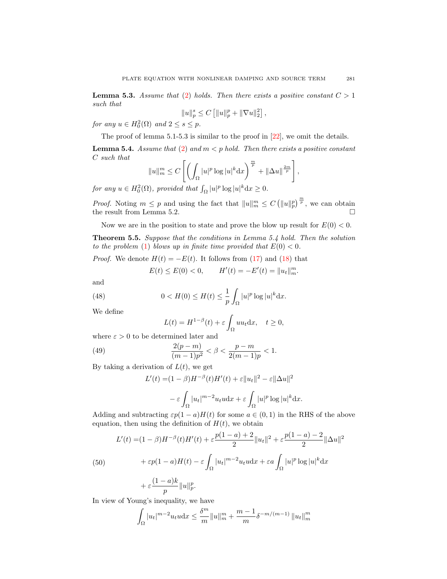**Lemma 5.3.** Assume that [\(2\)](#page-0-1) holds. Then there exists a positive constant  $C > 1$ such that

$$
||u||_p^s \le C [||u||_p^p + ||\nabla u||_2^2],
$$

for any  $u \in H_0^2(\Omega)$  and  $2 \leq s \leq p$ .

The proof of lemma 5.1-5.3 is similar to the proof in [\[22\]](#page-25-13), we omit the details.

**Lemma 5.4.** Assume that [\(2\)](#page-0-1) and  $m < p$  hold. Then there exists a positive constant C such that

$$
||u||_{m}^{m} \leq C\left[\left(\int_{\Omega} |u|^{p} \log |u|^{k} \mathrm{d}x\right)^{\frac{m}{p}} + ||\Delta u||^{\frac{2m}{p}}\right],
$$

for any  $u \in H_0^2(\Omega)$ , provided that  $\int_{\Omega} |u|^p \log |u|^k dx \ge 0$ .

*Proof.* Noting  $m \leq p$  and using the fact that  $||u||_m^m \leq C (||u||_p^p)^{\frac{m}{p}}$ , we can obtain the result from Lemma 5.2.

Now we are in the position to state and prove the blow up result for  $E(0) < 0$ .

Theorem 5.5. Suppose that the conditions in Lemma 5.4 hold. Then the solution to the problem [\(1\)](#page-0-0) blows up in finite time provided that  $E(0) < 0$ .

*Proof.* We denote  $H(t) = -E(t)$ . It follows from [\(17\)](#page-7-0) and [\(18\)](#page-7-1) that

$$
E(t) \le E(0) < 0, \qquad H'(t) = -E'(t) = \|u_t\|_m^m.
$$

and

(48) 
$$
0 < H(0) \le H(t) \le \frac{1}{p} \int_{\Omega} |u|^p \log |u|^k dx.
$$

We define

<span id="page-18-1"></span>
$$
L(t) = H^{1-\beta}(t) + \varepsilon \int_{\Omega} u u_t \, dx, \quad t \ge 0,
$$

where  $\varepsilon > 0$  to be determined later and

(49) 
$$
\frac{2(p-m)}{(m-1)p^2} < \beta < \frac{p-m}{2(m-1)p} < 1.
$$

By taking a derivation of  $L(t)$ , we get

$$
L'(t) = (1 - \beta)H^{-\beta}(t)H'(t) + \varepsilon||u_t||^2 - \varepsilon||\Delta u||^2
$$

$$
- \varepsilon \int |u_t|^{m-2}u_t u \, dx + \varepsilon \int |u|^p \log |u|^k \, dx.
$$

$$
J_{\Omega} \t J_{\Omega}
$$
  
Adding and subtracting  $\varepsilon p(1-a)H(t)$  for some  $a \in (0,1)$  in the RHS of the above equation, then using the definition of  $H(t)$ , we obtain

<span id="page-18-0"></span>
$$
L'(t) = (1 - \beta)H^{-\beta}(t)H'(t) + \varepsilon \frac{p(1 - a) + 2}{2} ||u_t||^2 + \varepsilon \frac{p(1 - a) - 2}{2} ||\Delta u||^2
$$
  
(50)
$$
+ \varepsilon p(1 - a)H(t) - \varepsilon \int_{\Omega} |u_t|^{m-2} u_t u \, dx + \varepsilon a \int_{\Omega} |u|^p \log |u|^k \, dx
$$

$$
+ \varepsilon \frac{(1 - a)k}{p} ||u||_p^p.
$$

In view of Young's inequality, we have

$$
\int_{\Omega} |u_t|^{m-2} u_t u \, dx \le \frac{\delta^m}{m} \|u\|_m^m + \frac{m-1}{m} \delta^{-m/(m-1)} \|u_t\|_m^m
$$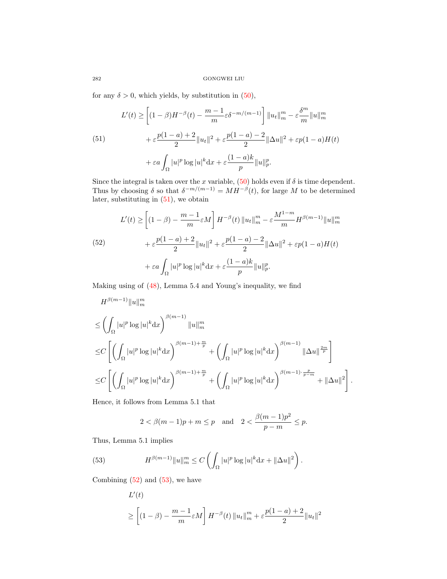for any  $\delta > 0$ , which yields, by substitution in [\(50\)](#page-18-0),

<span id="page-19-0"></span>(51)  

$$
L'(t) \ge \left[ (1 - \beta)H^{-\beta}(t) - \frac{m-1}{m} \varepsilon \delta^{-m/(m-1)} \right] ||u_t||_m^m - \varepsilon \frac{\delta^m}{m} ||u||_m^m
$$

$$
+ \varepsilon \frac{p(1-a) + 2}{2} ||u_t||^2 + \varepsilon \frac{p(1-a) - 2}{2} ||\Delta u||^2 + \varepsilon p(1-a)H(t)
$$

$$
+ \varepsilon a \int_{\Omega} |u|^p \log |u|^k dx + \varepsilon \frac{(1-a)k}{p} ||u||_p^p.
$$

Since the integral is taken over the x variable,  $(50)$  holds even if  $\delta$  is time dependent. Thus by choosing  $\delta$  so that  $\delta^{-m/(m-1)} = MH^{-\beta}(t)$ , for large M to be determined later, substituting in [\(51\)](#page-19-0), we obtain

<span id="page-19-1"></span>(52) 
$$
L'(t) \ge \left[ (1 - \beta) - \frac{m - 1}{m} \varepsilon M \right] H^{-\beta}(t) \|u_t\|_m^m - \varepsilon \frac{M^{1-m}}{m} H^{\beta(m-1)} \|u\|_m^m
$$

$$
+ \varepsilon \frac{p(1-a) + 2}{2} \|u_t\|^2 + \varepsilon \frac{p(1-a) - 2}{2} \|\Delta u\|^2 + \varepsilon p(1-a)H(t)
$$

$$
+ \varepsilon a \int_{\Omega} |u|^p \log |u|^k dx + \varepsilon \frac{(1-a)k}{p} \|u\|_p^p.
$$

Making using of [\(48\)](#page-18-1), Lemma 5.4 and Young's inequality, we find

$$
H^{\beta(m-1)} \|u\|_{m}^{m}
$$
  
\n
$$
\leq \left( \int_{\Omega} |u|^{p} \log |u|^{k} dx \right)^{\beta(m-1)} \|u\|_{m}^{m}
$$
  
\n
$$
\leq C \left[ \left( \int_{\Omega} |u|^{p} \log |u|^{k} dx \right)^{\beta(m-1) + \frac{m}{p}} + \left( \int_{\Omega} |u|^{p} \log |u|^{k} dx \right)^{\beta(m-1)} \|\Delta u\|_{p}^{\frac{2m}{p}} \right]
$$
  
\n
$$
\leq C \left[ \left( \int_{\Omega} |u|^{p} \log |u|^{k} dx \right)^{\beta(m-1) + \frac{m}{p}} + \left( \int_{\Omega} |u|^{p} \log |u|^{k} dx \right)^{\beta(m-1) + \frac{p}{p-m}} + \|\Delta u\|^{2} \right].
$$

Hence, it follows from Lemma 5.1 that

$$
2 < \beta(m-1)p + m \le p
$$
 and  $2 < \frac{\beta(m-1)p^2}{p-m} \le p$ .

Thus, Lemma 5.1 implies

(53) 
$$
H^{\beta(m-1)} \|u\|_{m}^{m} \leq C \left( \int_{\Omega} |u|^{p} \log |u|^{k} dx + \|\Delta u\|^{2} \right).
$$

Combining  $(52)$  and  $(53)$ , we have

<span id="page-19-2"></span>
$$
L'(t)
$$
  
\n
$$
\geq \left[ (1 - \beta) - \frac{m - 1}{m} \varepsilon M \right] H^{-\beta}(t) \|u_t\|_m^m + \varepsilon \frac{p(1 - a) + 2}{2} \|u_t\|^2
$$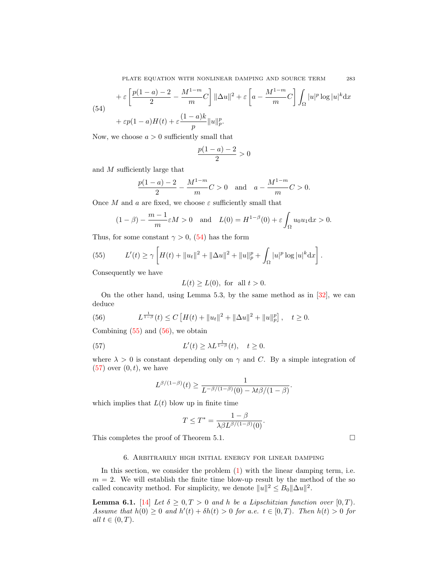PLATE EQUATION WITH NONLINEAR DAMPING AND SOURCE TERM 283

<span id="page-20-0"></span>(54)  

$$
+ \varepsilon \left[ \frac{p(1-a)-2}{2} - \frac{M^{1-m}}{m}C \right] ||\Delta u||^2 + \varepsilon \left[ a - \frac{M^{1-m}}{m}C \right] \int_{\Omega} |u|^p \log |u|^k dx
$$

$$
+ \varepsilon p(1-a)H(t) + \varepsilon \frac{(1-a)k}{p} ||u||_p^p.
$$

Now, we choose  $a > 0$  sufficiently small that

$$
\frac{p(1-a) - 2}{2} > 0
$$

and M sufficiently large that

$$
\frac{p(1-a)-2}{2} - \frac{M^{1-m}}{m}C > 0 \text{ and } a - \frac{M^{1-m}}{m}C > 0.
$$

Once M and a are fixed, we choose  $\varepsilon$  sufficiently small that

$$
(1 - \beta) - \frac{m-1}{m} \varepsilon M > 0 \quad \text{and} \quad L(0) = H^{1-\beta}(0) + \varepsilon \int_{\Omega} u_0 u_1 \, dx > 0.
$$

Thus, for some constant  $\gamma > 0$ , [\(54\)](#page-20-0) has the form

<span id="page-20-1"></span>(55) 
$$
L'(t) \ge \gamma \left[ H(t) + \|u_t\|^2 + \|\Delta u\|^2 + \|u\|_p^p + \int_{\Omega} |u|^p \log |u|^k dx \right].
$$

Consequently we have

$$
L(t) \ge L(0), \text{ for all } t > 0.
$$

On the other hand, using Lemma 5.3, by the same method as in [\[32\]](#page-25-24), we can deduce

<span id="page-20-2"></span>(56) 
$$
L^{\frac{1}{1-\beta}}(t) \leq C \left[ H(t) + ||u_t||^2 + ||\Delta u||^2 + ||u||_p^p \right], \quad t \geq 0.
$$

Combining  $(55)$  and  $(56)$ , we obtain

(57) 
$$
L'(t) \geq \lambda L^{\frac{1}{1-\beta}}(t), \quad t \geq 0.
$$

where  $\lambda > 0$  is constant depending only on  $\gamma$  and C. By a simple integration of  $(57)$  over  $(0, t)$ , we have

<span id="page-20-3"></span>
$$
L^{\beta/(1-\beta)}(t) \geq \frac{1}{L^{-\beta/(1-\beta)}(0) - \lambda t \beta/(1-\beta)}.
$$

which implies that  $L(t)$  blow up in finite time

$$
T \leq T^* = \frac{1 - \beta}{\lambda \beta L^{\beta/(1-\beta)}(0)}.
$$

This completes the proof of Theorem 5.1.

# 6. Arbitrarily high initial energy for linear damping

In this section, we consider the problem [\(1\)](#page-0-0) with the linear damping term, i.e.  $m = 2$ . We will establish the finite time blow-up result by the method of the so called concavity method. For simplicity, we denote  $||u||^2 \leq B_0 ||\Delta u||^2$ .

**Lemma 6.1.** [\[14\]](#page-24-14) Let  $\delta \geq 0, T > 0$  and h be a Lipschitzian function over [0, T). Assume that  $h(0) \geq 0$  and  $h'(t) + \delta h(t) > 0$  for a.e.  $t \in [0, T)$ . Then  $h(t) > 0$  for all  $t \in (0, T)$ .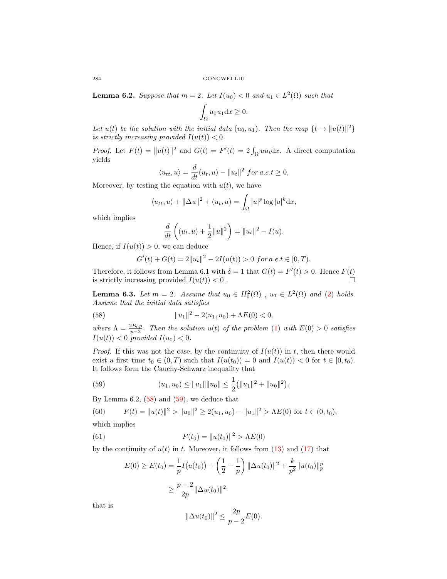**Lemma 6.2.** Suppose that  $m = 2$ . Let  $I(u_0) < 0$  and  $u_1 \in L^2(\Omega)$  such that

$$
\int_{\Omega} u_0 u_1 \mathrm{d}x \ge 0.
$$

Let  $u(t)$  be the solution with the initial data  $(u_0, u_1)$ . Then the map  $\{t \to ||u(t)||^2\}$ is strictly increasing provided  $I(u(t)) < 0$ .

*Proof.* Let  $F(t) = ||u(t)||^2$  and  $G(t) = F'(t) = 2 \int_{\Omega} uu_t dx$ . A direct computation yields

$$
\langle u_{tt}, u \rangle = \frac{d}{dt}(u_t, u) - ||u_t||^2 \text{ for a.e.} t \ge 0,
$$

Moreover, by testing the equation with  $u(t)$ , we have

$$
\langle u_{tt}, u \rangle + ||\Delta u||^2 + (u_t, u) = \int_{\Omega} |u|^p \log |u|^k \mathrm{d}x,
$$

which implies

$$
\frac{d}{dt}\left((u_t, u) + \frac{1}{2}||u||^2\right) = ||u_t||^2 - I(u).
$$

Hence, if  $I(u(t)) > 0$ , we can deduce

<span id="page-21-0"></span>
$$
G'(t) + G(t) = 2||u_t||^2 - 2I(u(t)) > 0 \text{ for a.e.} t \in [0, T).
$$

Therefore, it follows from Lemma 6.1 with  $\delta = 1$  that  $G(t) = F'(t) > 0$ . Hence  $F(t)$ is strictly increasing provided  $I(u(t)) < 0$ .

**Lemma 6.3.** Let  $m = 2$ . Assume that  $u_0 \in H_0^2(\Omega)$ ,  $u_1 \in L^2(\Omega)$  and [\(2\)](#page-0-1) holds. Assume that the initial data satisfies

(58) 
$$
||u_1||^2 - 2(u_1, u_0) + \Lambda E(0) < 0,
$$

where  $\Lambda = \frac{2B_0p}{p-2}$ . Then the solution  $u(t)$  of the problem [\(1\)](#page-0-0) with  $E(0) > 0$  satisfies  $I(u(t)) < 0$  provided  $I(u_0) < 0$ .

*Proof.* If this was not the case, by the continuity of  $I(u(t))$  in t, then there would exist a first time  $t_0 \in (0,T)$  such that  $I(u(t_0)) = 0$  and  $I(u(t)) < 0$  for  $t \in [0,t_0)$ . It follows form the Cauchy-Schwarz inequality that

<span id="page-21-1"></span>(59) 
$$
(u_1, u_0) \le ||u_1|| ||u_0|| \le \frac{1}{2} (||u_1||^2 + ||u_0||^2).
$$

By Lemma  $6.2$ ,  $(58)$  and  $(59)$ , we deduce that

<span id="page-21-3"></span>(60) 
$$
F(t) = ||u(t)||^2 > ||u_0||^2 \ge 2(u_1, u_0) - ||u_1||^2 > \Lambda E(0) \text{ for } t \in (0, t_0),
$$
 which implies

(61) 
$$
F(t_0) = ||u(t_0)||^2 > \Lambda E(0)
$$

by the continuity of  $u(t)$  in t. Moreover, it follows from  $(13)$  and  $(17)$  that

<span id="page-21-2"></span>
$$
E(0) \ge E(t_0) = \frac{1}{p}I(u(t_0)) + \left(\frac{1}{2} - \frac{1}{p}\right) \|\Delta u(t_0)\|^2 + \frac{k}{p^2} \|u(t_0)\|_p^p
$$
  

$$
\ge \frac{p-2}{2p} \|\Delta u(t_0)\|^2
$$

that is

$$
\|\Delta u(t_0)\|^2 \le \frac{2p}{p-2}E(0).
$$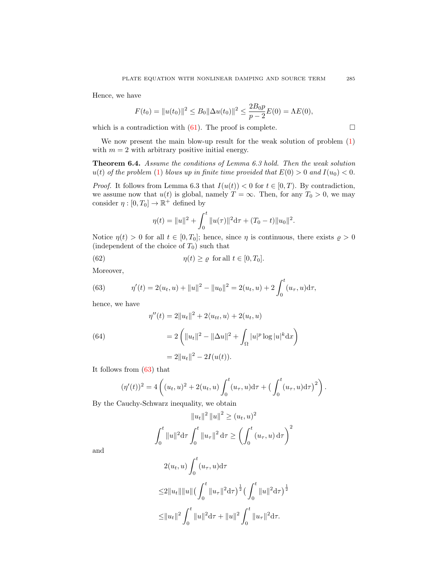Hence, we have

$$
F(t_0) = ||u(t_0)||^2 \le B_0 ||\Delta u(t_0)||^2 \le \frac{2B_0 p}{p-2} E(0) = \Lambda E(0),
$$

which is a contradiction with  $(61)$ . The proof is complete.  $\Box$ 

We now present the main blow-up result for the weak solution of problem  $(1)$ with  $m = 2$  with arbitrary positive initial energy.

Theorem 6.4. Assume the conditions of Lemma 6.3 hold. Then the weak solution  $u(t)$  of the problem [\(1\)](#page-0-0) blows up in finite time provided that  $E(0) > 0$  and  $I(u_0) < 0$ .

*Proof.* It follows from Lemma 6.3 that  $I(u(t)) < 0$  for  $t \in [0, T)$ . By contradiction, we assume now that  $u(t)$  is global, namely  $T = \infty$ . Then, for any  $T_0 > 0$ , we may consider  $\eta : [0, T_0] \to \mathbb{R}^+$  defined by

$$
\eta(t) = ||u||^2 + \int_0^t ||u(\tau)||^2 d\tau + (T_0 - t)||u_0||^2.
$$

Notice  $\eta(t) > 0$  for all  $t \in [0, T_0]$ ; hence, since  $\eta$  is continuous, there exists  $\rho > 0$ (independent of the choice of  $T_0$ ) such that

(62) 
$$
\eta(t) \geq \varrho \text{ for all } t \in [0, T_0].
$$

Moreover,

<span id="page-22-0"></span>(63) 
$$
\eta'(t) = 2(u_t, u) + ||u||^2 - ||u_0||^2 = 2(u_t, u) + 2 \int_0^t (u_\tau, u) d\tau,
$$

hence, we have

<span id="page-22-1"></span>(64)  
\n
$$
\eta''(t) = 2||u_t||^2 + 2\langle u_{tt}, u \rangle + 2(u_t, u)
$$
\n
$$
= 2\left(||u_t||^2 - ||\Delta u||^2 + \int_{\Omega} |u|^p \log |u|^k dx\right)
$$
\n
$$
= 2||u_t||^2 - 2I(u(t)).
$$

It follows from [\(63\)](#page-22-0) that

$$
(\eta'(t))^2 = 4\left((u_t, u)^2 + 2(u_t, u)\int_0^t (u_\tau, u)\mathrm{d}\tau + \left(\int_0^t (u_\tau, u)\mathrm{d}\tau\right)^2\right).
$$

By the Cauchy-Schwarz inequality, we obtain

$$
||u_t||^2 ||u||^2 \ge (u_t, u)^2
$$

$$
\int_0^t ||u||^2 d\tau \int_0^t ||u_\tau||^2 d\tau \ge \left(\int_0^t (u_\tau, u) d\tau\right)^2
$$

and

$$
2(u_t, u) \int_0^t (u_\tau, u) d\tau
$$
  
\n
$$
\leq 2||u_t|| ||u|| \left(\int_0^t ||u_\tau||^2 d\tau\right)^{\frac{1}{2}} \left(\int_0^t ||u||^2 d\tau\right)^{\frac{1}{2}}
$$
  
\n
$$
\leq ||u_t||^2 \int_0^t ||u||^2 d\tau + ||u||^2 \int_0^t ||u_\tau||^2 d\tau.
$$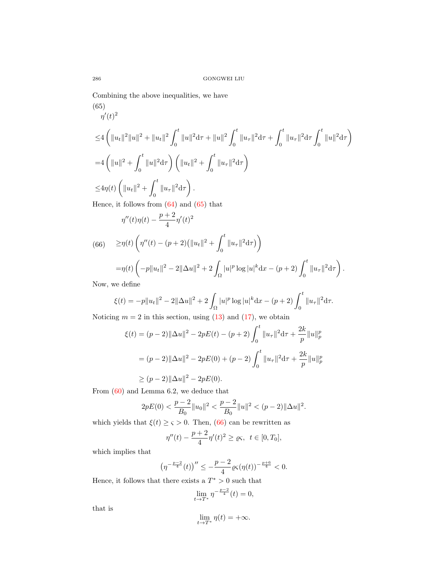Combining the above inequalities, we have

<span id="page-23-0"></span>(65)  
\n
$$
\eta'(t)^2
$$
\n
$$
\leq 4 \left( \|u_t\|^2 \|u\|^2 + \|u_t\|^2 \int_0^t \|u\|^2 d\tau + \|u\|^2 \int_0^t \|u_\tau\|^2 d\tau + \int_0^t \|u_\tau\|^2 d\tau \int_0^t \|u\|^2 d\tau \right)
$$
\n
$$
= 4 \left( \|u\|^2 + \int_0^t \|u\|^2 d\tau \right) \left( \|u_t\|^2 + \int_0^t \|u_\tau\|^2 d\tau \right)
$$
\n
$$
\leq 4\eta(t) \left( \|u_t\|^2 + \int_0^t \|u_\tau\|^2 d\tau \right).
$$
\nHence, it follows from (64) and (65) that

$$
\eta''(t)\eta(t) - \frac{p+2}{4}\eta'(t)^2
$$

<span id="page-23-1"></span>(66) 
$$
\geq \eta(t) \left( \eta''(t) - (p+2) (||u_t||^2 + \int_0^t ||u_\tau||^2 d\tau) \right)
$$

$$
= \eta(t) \left( -p||u_t||^2 - 2||\Delta u||^2 + 2 \int |u|^p \log |u|^k dx - (p+2) \int_0^t ||u||^p \log |u|^p d\tau \right)
$$

$$
= \eta(t) \left( -p\|u_t\|^2 - 2\|\Delta u\|^2 + 2\int_{\Omega} |u|^p \log |u|^k dx - (p+2) \int_0^t \|u_\tau\|^2 d\tau \right).
$$

Now, we define

$$
\xi(t) = -p||u_t||^2 - 2||\Delta u||^2 + 2\int_{\Omega} |u|^p \log |u|^k dx - (p+2) \int_0^t ||u_\tau||^2 d\tau.
$$

Noticing  $m = 2$  in this section, using [\(13\)](#page-4-1) and [\(17\)](#page-7-0), we obtain

$$
\xi(t) = (p-2) \|\Delta u\|^2 - 2pE(t) - (p+2) \int_0^t \|u_\tau\|^2 d\tau + \frac{2k}{p} \|u\|_p^p
$$
  
= 
$$
(p-2) \|\Delta u\|^2 - 2pE(0) + (p-2) \int_0^t \|u_\tau\|^2 d\tau + \frac{2k}{p} \|u\|_p^p
$$
  

$$
\ge (p-2) \|\Delta u\|^2 - 2pE(0).
$$

From [\(60\)](#page-21-3) and Lemma 6.2, we deduce that

$$
2pE(0) < \frac{p-2}{B_0} \|u_0\|^2 < \frac{p-2}{B_0} \|u\|^2 < (p-2) \|\Delta u\|^2.
$$

which yields that  $\xi(t) \geq \varsigma > 0$ . Then, [\(66\)](#page-23-1) can be rewritten as

$$
\eta''(t) - \frac{p+2}{4}\eta'(t)^2 \ge \varrho \varsigma, \ \ t \in [0, T_0],
$$

which implies that

$$
\left(\eta^{-\frac{p-2}{4}}(t)\right)''\leq -\frac{p-2}{4}\varrho \varsigma(\eta(t))^{-\frac{p+6}{4}}<0.
$$

Hence, it follows that there exists a  $T^* > 0$  such that

$$
\lim_{t \to T^*} \eta^{-\frac{p-2}{4}}(t) = 0,
$$

that is

$$
\lim_{t\to T^*}\eta(t)=+\infty.
$$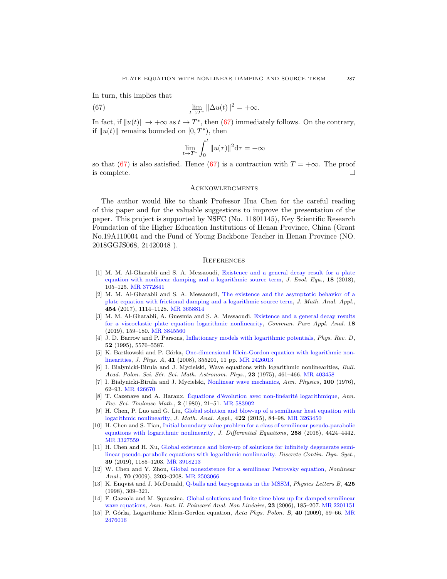In turn, this implies that

(67) 
$$
\lim_{t \to T^*} \|\Delta u(t)\|^2 = +\infty.
$$

In fact, if  $||u(t)|| \rightarrow +\infty$  as  $t \rightarrow T^*$ , then [\(67\)](#page-24-15) immediately follows. On the contrary, if  $||u(t)||$  remains bounded on  $[0, T^*)$ , then

<span id="page-24-15"></span>
$$
\lim_{t \to T^*} \int_0^t \|u(\tau)\|^2 \mathrm{d}\tau = +\infty
$$

so that [\(67\)](#page-24-15) is also satisfied. Hence (67) is a contraction with  $T = +\infty$ . The proof is complete.  $\Box$ 

#### **ACKNOWLEDGMENTS**

The author would like to thank Professor Hua Chen for the careful reading of this paper and for the valuable suggestions to improve the presentation of the paper. This project is supported by NSFC (No. 11801145), Key Scientific Research Foundation of the Higher Education Institutions of Henan Province, China (Grant No.19A110004 and the Fund of Young Backbone Teacher in Henan Province (NO. 2018GGJS068, 21420048 ).

### **REFERENCES**

- <span id="page-24-7"></span>[1] M. M. Al-Gharabli and S. A. Messaoudi, [Existence and a general decay result for a plate](http://dx.doi.org/10.1007/s00028-017-0392-4) [equation with nonlinear damping and a logarithmic source term,](http://dx.doi.org/10.1007/s00028-017-0392-4)  $J. Evol. Equ.,$  18 (2018), 105–125. [MR 3772841](http://www.ams.org/mathscinet-getitem?mr=3772841&return=pdf)
- <span id="page-24-8"></span>[2] M. M. Al-Gharabli and S. A. Messaoudi, [The existence and the asymptotic behavior of a](http://dx.doi.org/10.1016/j.jmaa.2017.05.030) [plate equation with frictional damping and a logarithmic source term,](http://dx.doi.org/10.1016/j.jmaa.2017.05.030) J. Math. Anal. Appl., 454 (2017), 1114–1128. [MR 3658814](http://www.ams.org/mathscinet-getitem?mr=3658814&return=pdf)
- <span id="page-24-9"></span>[3] M. M. Al-Gharabli, A. Guesmia and S. A. Messaoudi, [Existence and a general decay results](http://dx.doi.org/10.3934/cpaa.2019009) [for a viscoelastic plate equation logarithmic nonlinearity,](http://dx.doi.org/10.3934/cpaa.2019009) Commun. Pure Appl. Anal. 18 (2019), 159–180. [MR 3845560](http://www.ams.org/mathscinet-getitem?mr=3845560&return=pdf)
- <span id="page-24-3"></span>[4] J. D. Barrow and P. Parsons, [Inflationary models with logarithmic potentials,](http://dx.doi.org/10.1103/PhysRevD.52.5576) Phys. Rev. D, 52 (1995), 5576–5587.
- <span id="page-24-0"></span>[5] K. Bartkowski and P. Górka, [One-dimensional Klein-Gordon equation with logarithmic non](http://dx.doi.org/10.1088/1751-8113/41/35/355201)[linearities,](http://dx.doi.org/10.1088/1751-8113/41/35/355201) J. Phys. A, 41 (2008), 355201, 11 pp. [MR 2426013](http://www.ams.org/mathscinet-getitem?mr=2426013&return=pdf)
- <span id="page-24-1"></span>[6] I. Białynicki-Birula and J. Mycielski, Wave equations with logarithmic nonlinearities, Bull. Acad. Polon. Sci. Sér. Sci. Math. Astronom. Phys., 23 (1975), 461–466. [MR 403458](http://www.ams.org/mathscinet-getitem?mr=403458&return=pdf)
- <span id="page-24-5"></span>[7] I. Białynicki-Birula and J. Mycielski, [Nonlinear wave mechanics,](http://dx.doi.org/10.1016/0003-4916(76)90057-9) Ann. Physics, 100 (1976), 62–93. [MR 426670](http://www.ams.org/mathscinet-getitem?mr=426670&return=pdf)
- <span id="page-24-6"></span>[8] T. Cazenave and A. Haraux, Equations d'évolution avec non-linéarité logarithmique, Ann. Fac. Sci. Toulouse Math., 2 (1980), 21–51. [MR 583902](http://www.ams.org/mathscinet-getitem?mr=583902&return=pdf)
- <span id="page-24-11"></span>[9] H. Chen, P. Luo and G. Liu, [Global solution and blow-up of a semilinear heat equation with](http://dx.doi.org/10.1016/j.jmaa.2014.08.030) [logarithmic nonlinearity,](http://dx.doi.org/10.1016/j.jmaa.2014.08.030) J. Math. Anal. Appl., 422 (2015), 84–98. [MR 3263450](http://www.ams.org/mathscinet-getitem?mr=3263450&return=pdf)
- <span id="page-24-12"></span>[10] H. Chen and S. Tian, [Initial boundary value problem for a class of semilinear pseudo-parabolic](http://dx.doi.org/10.1016/j.jde.2015.01.038) [equations with logarithmic nonlinearity,](http://dx.doi.org/10.1016/j.jde.2015.01.038) J. Differential Equations, 258 (2015), 4424-4442. [MR 3327559](http://www.ams.org/mathscinet-getitem?mr=3327559&return=pdf)
- <span id="page-24-13"></span>[11] H. Chen and H. Xu, [Global existence and blow-up of solutions for infinitely degenerate semi](http://dx.doi.org/10.3934/dcds.2019051)[linear pseudo-parabolic equations with logarithmic nonlinearity,](http://dx.doi.org/10.3934/dcds.2019051) Discrete Contin. Dyn. Syst., 39 (2019), 1185–1203. [MR 3918213](http://www.ams.org/mathscinet-getitem?mr=3918213&return=pdf)
- <span id="page-24-10"></span>[12] W. Chen and Y. Zhou, [Global nonexistence for a semilinear Petrovsky equation,](http://dx.doi.org/10.1016/j.na.2008.04.024) Nonlinear Anal., 70 (2009), 3203–3208. [MR 2503066](http://www.ams.org/mathscinet-getitem?mr=2503066&return=pdf)
- <span id="page-24-4"></span>[13] K. Enqvist and J. McDonald, [Q-balls and baryogenesis in the MSSM,](http://dx.doi.org/10.1016/S0370-2693(98)00271-8) Physics Letters B, 425 (1998), 309–321.
- <span id="page-24-14"></span>[14] F. Gazzola and M. Squassina, [Global solutions and finite time blow up for damped semilinear](http://dx.doi.org/10.1016/j.anihpc.2005.02.007) [wave equations,](http://dx.doi.org/10.1016/j.anihpc.2005.02.007) Ann. Inst. H. Poincaré Anal. Non Linéaire, 23 (2006), 185–207. [MR 2201151](http://www.ams.org/mathscinet-getitem?mr=2201151&return=pdf)
- <span id="page-24-2"></span>[15] P. Górka, Logarithmic Klein-Gordon equation, Acta Phys. Polon. B, 40 (2009), 59–66. [MR](http://www.ams.org/mathscinet-getitem?mr=2476016&return=pdf) [2476016](http://www.ams.org/mathscinet-getitem?mr=2476016&return=pdf)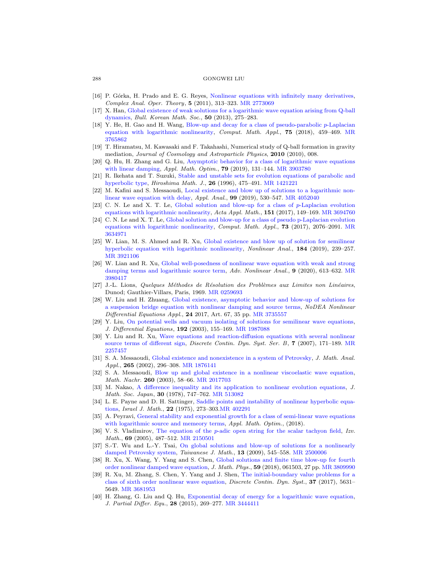- <span id="page-25-0"></span>[16] P. Górka, H. Prado and E. G. Reyes, [Nonlinear equations with infinitely many derivatives,](http://dx.doi.org/10.1007/s11785-009-0043-z) Complex Anal. Oper. Theory, 5 (2011), 313–323. [MR 2773069](http://www.ams.org/mathscinet-getitem?mr=2773069&return=pdf)
- <span id="page-25-5"></span>[17] X. Han, [Global existence of weak solutions for a logarithmic wave equation arising from Q-ball](http://dx.doi.org/10.4134/BKMS.2013.50.1.275) [dynamics,](http://dx.doi.org/10.4134/BKMS.2013.50.1.275) Bull. Korean Math. Soc., 50 (2013), 275–283.
- <span id="page-25-16"></span>[18] Y. He, H. Gao and H. Wang, [Blow-up and decay for a class of pseudo-parabolic](http://dx.doi.org/10.1016/j.camwa.2017.09.027) p-Laplacian [equation with logarithmic nonlinearity,](http://dx.doi.org/10.1016/j.camwa.2017.09.027) Comput. Math. Appl., 75 (2018), 459–469. [MR](http://www.ams.org/mathscinet-getitem?mr=3765862&return=pdf) [3765862](http://www.ams.org/mathscinet-getitem?mr=3765862&return=pdf)
- <span id="page-25-4"></span>[19] T. Hiramatsu, M. Kawasaki and F. Takahashi, Numerical study of Q-ball formation in gravity mediation, Journal of Cosmology and Astroparticle Physics, 2010 (2010), 008.
- <span id="page-25-7"></span>[20] Q. Hu, H. Zhang and G. Liu, [Asymptotic behavior for a class of logarithmic wave equations](http://dx.doi.org/10.1007/s00245-017-9423-3) [with linear damping,](http://dx.doi.org/10.1007/s00245-017-9423-3) Appl. Math. Optim., 79 (2019), 131-144. [MR 3903780](http://www.ams.org/mathscinet-getitem?mr=3903780&return=pdf)
- <span id="page-25-20"></span>[21] R. Ikehata and T. Suzuki, [Stable and unstable sets for evolution equations of parabolic and](http://dx.doi.org/10.32917/hmj/1206127254) [hyperbolic type,](http://dx.doi.org/10.32917/hmj/1206127254) Hiroshima Math. J., 26 (1996), 475–491. [MR 1421221](http://www.ams.org/mathscinet-getitem?mr=1421221&return=pdf)
- <span id="page-25-13"></span>[22] M. Kafini and S. Messaoudi, [Local existence and blow up of solutions to a logarithmic non](http://dx.doi.org/10.1080/00036811.2018.1504029)[linear wave equation with delay,](http://dx.doi.org/10.1080/00036811.2018.1504029) Appl. Anal., 99 (2019), 530–547. [MR 4052040](http://www.ams.org/mathscinet-getitem?mr=4052040&return=pdf)
- <span id="page-25-14"></span>[23] C. N. Le and X. T. Le, [Global solution and blow-up for a class of](http://dx.doi.org/10.1007/s10440-017-0106-5) p-Laplacian evolution [equations with logarithmic nonlinearity,](http://dx.doi.org/10.1007/s10440-017-0106-5) Acta Appl. Math., 151 (2017), 149–169. [MR 3694760](http://www.ams.org/mathscinet-getitem?mr=3694760&return=pdf)
- <span id="page-25-15"></span>[24] C. N. Le and X. T. Le, [Global solution and blow-up for a class of pseudo p-Laplacian evolution](http://dx.doi.org/10.1016/j.camwa.2017.02.030) [equations with logarithmic nonlinearity,](http://dx.doi.org/10.1016/j.camwa.2017.02.030)  $Comput. Math. Appl., 73 (2017), 2076-2091. MR$  $Comput. Math. Appl., 73 (2017), 2076-2091. MR$ [3634971](http://www.ams.org/mathscinet-getitem?mr=3634971&return=pdf)
- <span id="page-25-2"></span>[25] W. Lian, M. S. Ahmed and R. Xu, [Global existence and blow up of solution for semilinear](http://dx.doi.org/10.1016/j.na.2019.02.015) [hyperbolic equation with logarithmic nonlinearity,](http://dx.doi.org/10.1016/j.na.2019.02.015) Nonlinear Anal., 184 (2019), 239–257. [MR 3921106](http://www.ams.org/mathscinet-getitem?mr=3921106&return=pdf)
- <span id="page-25-3"></span>[26] W. Lian and R. Xu, [Global well-posedness of nonlinear wave equation with weak and strong](http://dx.doi.org/10.1515/anona-2020-0016) [damping terms and logarithmic source term,](http://dx.doi.org/10.1515/anona-2020-0016) Adv. Nonlinear Anal., 9 (2020), 613–632. [MR](http://www.ams.org/mathscinet-getitem?mr=3980417&return=pdf) [3980417](http://www.ams.org/mathscinet-getitem?mr=3980417&return=pdf)
- <span id="page-25-17"></span>[27] J.-L. Lions, Quelques Méthodes de Résolution des Problèmes aux Limites non Linéaires, Dunod; Gauthier-Villars, Paris, 1969. [MR 0259693](http://www.ams.org/mathscinet-getitem?mr=0259693&return=pdf)
- <span id="page-25-21"></span>[28] W. Liu and H. Zhuang, [Global existence, asymptotic behavior and blow-up of solutions for](http://dx.doi.org/10.1007/s00030-017-0491-5) [a suspension bridge equation with nonlinear damping and source terms,](http://dx.doi.org/10.1007/s00030-017-0491-5) NoDEA Nonlinear Differential Equations Appl., 24 2017, Art. 67, 35 pp. [MR 3735557](http://www.ams.org/mathscinet-getitem?mr=3735557&return=pdf)
- <span id="page-25-18"></span>[29] Y. Liu, [On potential wells and vacuum isolating of solutions for semilinear wave equations,](http://dx.doi.org/10.1016/S0022-0396(02)00020-7) J. Differential Equations, 192 (2003), 155–169. [MR 1987088](http://www.ams.org/mathscinet-getitem?mr=1987088&return=pdf)
- <span id="page-25-11"></span>[30] Y. Liu and R. Xu, [Wave equations and reaction-diffusion equations with several nonlinear](http://dx.doi.org/10.3934/dcdsb.2007.7.171) [source terms of different sign,](http://dx.doi.org/10.3934/dcdsb.2007.7.171) Discrete Contin. Dyn. Syst. Ser. B, 7 (2007), 171–189. [MR](http://www.ams.org/mathscinet-getitem?mr=2257457&return=pdf) [2257457](http://www.ams.org/mathscinet-getitem?mr=2257457&return=pdf)
- <span id="page-25-9"></span>[31] S. A. Messaoudi, [Global existence and nonexistence in a system of Petrovsky,](http://dx.doi.org/10.1006/jmaa.2001.7697) J. Math. Anal. Appl., 265 (2002), 296-308. [MR 1876141](http://www.ams.org/mathscinet-getitem?mr=1876141&return=pdf)
- <span id="page-25-24"></span>[32] S. A. Messaoudi, [Blow up and global existence in a nonlinear viscoelastic wave equation,](http://dx.doi.org/10.1002/mana.200310104) Math. Nachr. 260 (2003), 58–66. [MR 2017703](http://www.ams.org/mathscinet-getitem?mr=2017703&return=pdf)
- <span id="page-25-23"></span>[33] M. Nakao, [A difference inequality and its application to nonlinear evolution equations,](http://dx.doi.org/10.2969/jmsj/03040747) J. Math. Soc. Japan, 30 (1978), 747–762. [MR 513082](http://www.ams.org/mathscinet-getitem?mr=513082&return=pdf)
- <span id="page-25-19"></span>[34] L. E. Payne and D. H. Sattinger, [Saddle points and instability of nonlinear hyperbolic equa](http://dx.doi.org/10.1007/BF02761595)[tions,](http://dx.doi.org/10.1007/BF02761595) Israel J. Math., 22 (1975), 273–303[.MR 402291](http://www.ams.org/mathscinet-getitem?mr=402291&return=pdf)
- <span id="page-25-8"></span>[35] A. Peyravi, [General stability and exponential growth for a class of semi-linear wave equations](http://dx.doi.org/10.1007/s00245-018-9508-7) [with logarithmic source and memeory terms,](http://dx.doi.org/10.1007/s00245-018-9508-7) Appl. Math. Optim., (2018).
- <span id="page-25-1"></span>[36] V. S. Vladimirov, The equation of the p[-adic open string for the scalar tachyon field,](http://dx.doi.org/10.1070/IM2005v069n03ABEH000536) Izv. Math., 69 (2005), 487–512. [MR 2150501](http://www.ams.org/mathscinet-getitem?mr=2150501&return=pdf)
- <span id="page-25-10"></span>[37] S.-T. Wu and L.-Y. Tsai, [On global solutions and blow-up of solutions for a nonlinearly](http://dx.doi.org/10.11650/twjm/1500405355) [damped Petrovsky system,](http://dx.doi.org/10.11650/twjm/1500405355) Taiwanese J. Math., 13 (2009), 545–558. [MR 2500006](http://www.ams.org/mathscinet-getitem?mr=2500006&return=pdf)
- <span id="page-25-22"></span>[38] R. Xu, X. Wang, Y. Yang and S. Chen, [Global solutions and finite time blow-up for fourth](http://dx.doi.org/10.1063/1.5006728) [order nonlinear damped wave equation,](http://dx.doi.org/10.1063/1.5006728) J. Math. Phys., 59 (2018), 061503, 27 pp. [MR 3809990](http://www.ams.org/mathscinet-getitem?mr=3809990&return=pdf)
- <span id="page-25-12"></span>[39] R. Xu, M. Zhang, S. Chen, Y. Yang and J. Shen, [The initial-boundary value problems for a](http://dx.doi.org/10.3934/dcds.2017244) [class of sixth order nonlinear wave equation,](http://dx.doi.org/10.3934/dcds.2017244) Discrete Contin. Dyn. Syst., 37 (2017), 5631– 5649. [MR 3681953](http://www.ams.org/mathscinet-getitem?mr=3681953&return=pdf)
- <span id="page-25-6"></span>[40] H. Zhang, G. Liu and Q. Hu, [Exponential decay of energy for a logarithmic wave equation,](http://dx.doi.org/10.4208/jpde.v28.n3.5) J. Partial Differ. Equ., 28 (2015), 269–277. [MR 3444411](http://www.ams.org/mathscinet-getitem?mr=3444411&return=pdf)